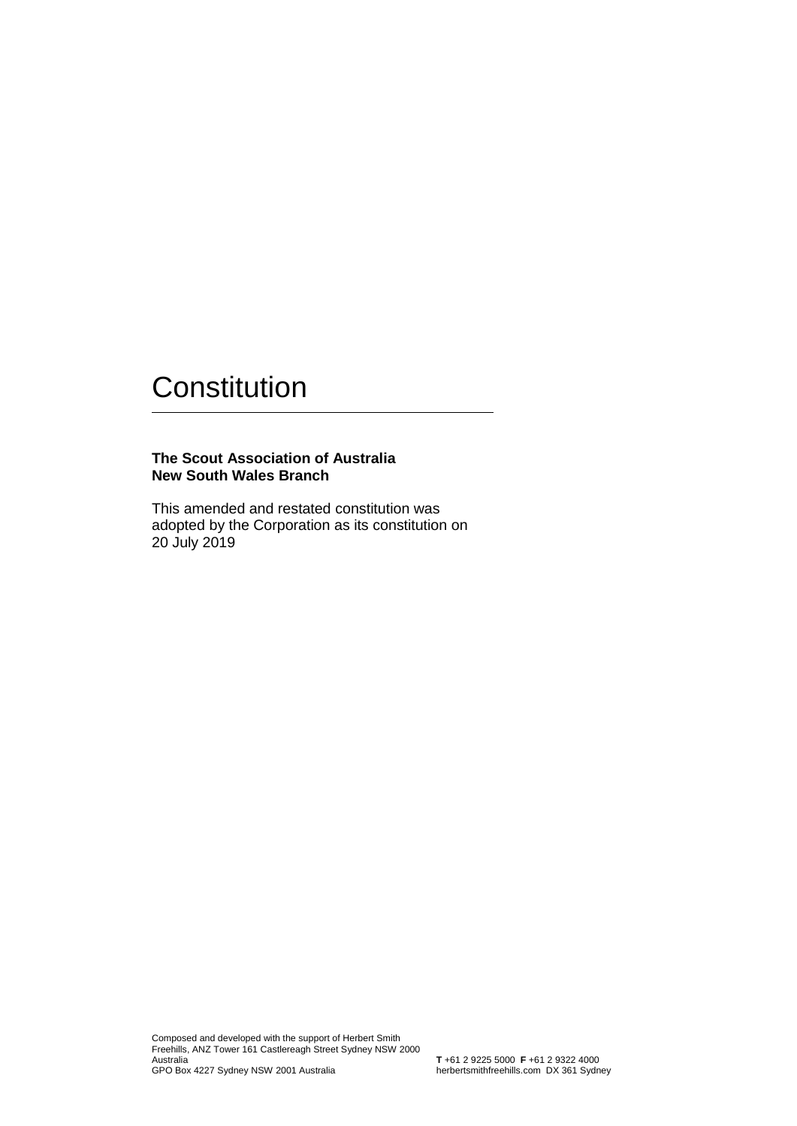#### **The Scout Association of Australia New South Wales Branch**

This amended and restated constitution was adopted by the Corporation as its constitution on 20 July 2019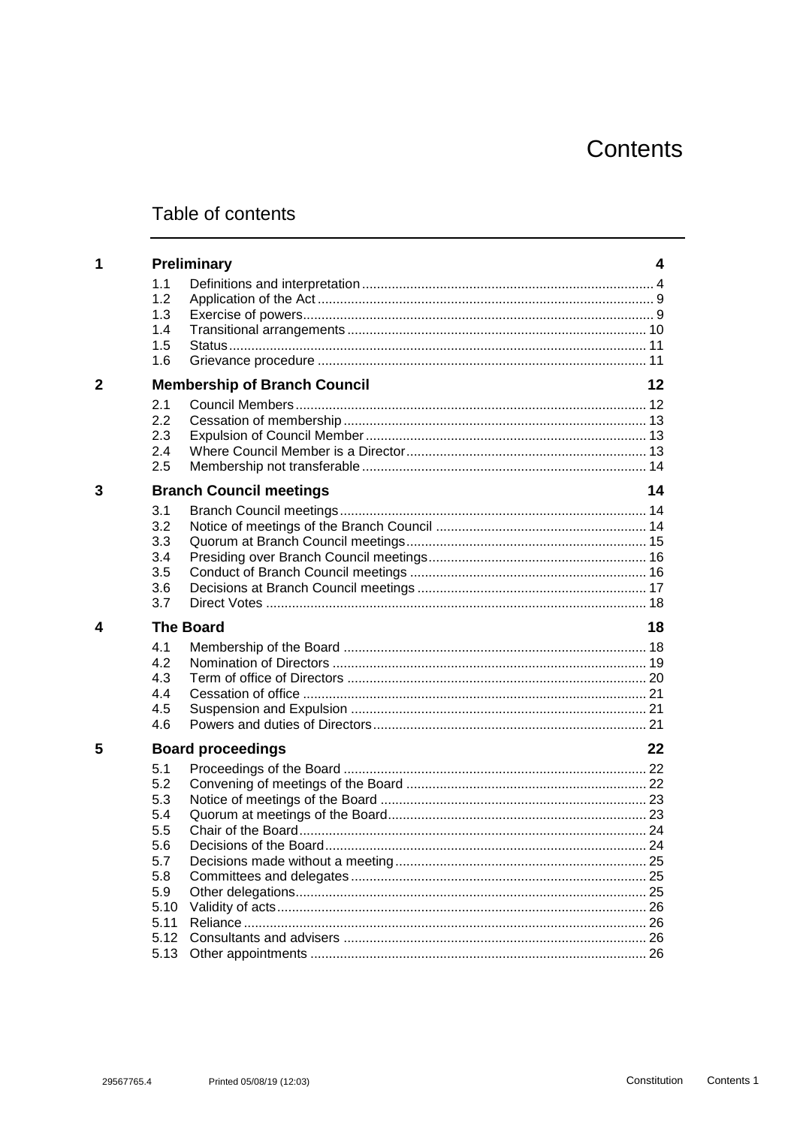# Contents

# Table of contents

| 1              |                                     | <b>Preliminary</b>             | 4  |  |
|----------------|-------------------------------------|--------------------------------|----|--|
|                | 1.1                                 |                                |    |  |
|                | 1.2                                 |                                |    |  |
|                | 1.3                                 |                                |    |  |
|                | 1.4                                 |                                |    |  |
|                | 1.5                                 |                                |    |  |
|                | 1.6                                 |                                |    |  |
| $\overline{2}$ | <b>Membership of Branch Council</b> |                                |    |  |
|                | 2.1                                 |                                |    |  |
|                | 2.2                                 |                                |    |  |
|                | 2.3                                 |                                |    |  |
|                | 2.4                                 |                                |    |  |
|                | 2.5                                 |                                |    |  |
| 3              |                                     | <b>Branch Council meetings</b> | 14 |  |
|                | 3.1                                 |                                |    |  |
|                | 3.2                                 |                                |    |  |
|                | 3.3                                 |                                |    |  |
|                | 3.4                                 |                                |    |  |
|                | 3.5                                 |                                |    |  |
|                | 3.6                                 |                                |    |  |
|                | 3.7                                 |                                |    |  |
| 4              | <b>The Board</b>                    |                                |    |  |
|                | 4.1                                 |                                |    |  |
|                | 4.2                                 |                                |    |  |
|                | 4.3                                 |                                |    |  |
|                | 4.4                                 |                                |    |  |
|                | 4.5                                 |                                |    |  |
|                | 4.6                                 |                                |    |  |
| 5              | <b>Board proceedings</b>            |                                |    |  |
|                | 5.1                                 |                                |    |  |
|                | 5.2                                 |                                |    |  |
|                | 5.3                                 |                                |    |  |
|                | 5.4                                 |                                |    |  |
|                | 5.5                                 |                                |    |  |
|                | 5.6                                 |                                |    |  |
|                | 5.7                                 |                                |    |  |
|                | 5.8                                 |                                |    |  |
|                | 5.9                                 |                                |    |  |
|                | 5.10                                |                                |    |  |
|                | 5.11                                |                                |    |  |
|                | 5.12                                |                                |    |  |
|                |                                     |                                |    |  |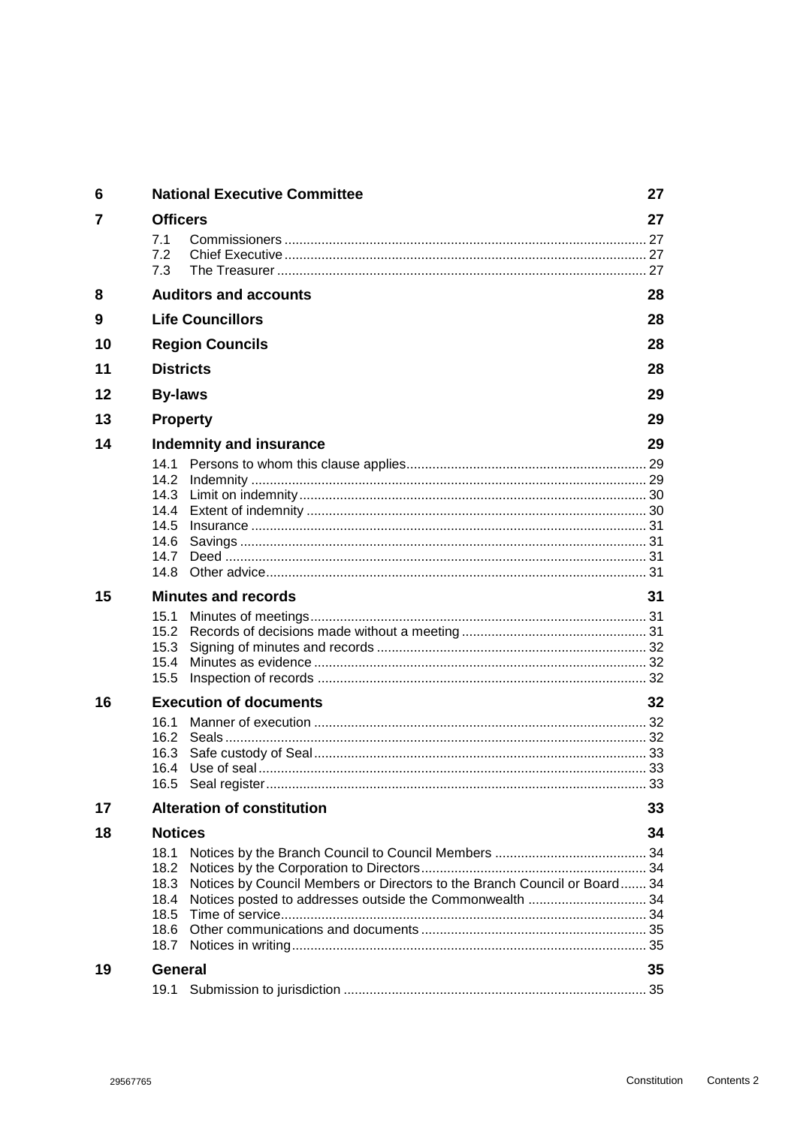| 6  | <b>National Executive Committee</b> |                                                                           |    |
|----|-------------------------------------|---------------------------------------------------------------------------|----|
| 7  | <b>Officers</b>                     |                                                                           | 27 |
|    | 7.1                                 |                                                                           |    |
|    | 7.2                                 |                                                                           |    |
|    | 7.3                                 |                                                                           |    |
| 8  |                                     | <b>Auditors and accounts</b>                                              | 28 |
| 9  |                                     | <b>Life Councillors</b>                                                   | 28 |
| 10 |                                     | <b>Region Councils</b>                                                    | 28 |
| 11 | <b>Districts</b>                    |                                                                           |    |
| 12 | <b>By-laws</b>                      |                                                                           | 29 |
| 13 | <b>Property</b>                     |                                                                           |    |
| 14 | Indemnity and insurance             |                                                                           |    |
|    | 14.1                                |                                                                           |    |
|    |                                     |                                                                           |    |
|    | 14.4                                |                                                                           |    |
|    | 14.5                                |                                                                           |    |
|    | 14.6                                |                                                                           |    |
|    | 14.7                                |                                                                           |    |
|    | 14.8                                |                                                                           |    |
| 15 |                                     | <b>Minutes and records</b>                                                | 31 |
|    | 15.1                                |                                                                           |    |
|    | 15.3                                |                                                                           |    |
|    | 15.4                                |                                                                           |    |
|    | 15.5                                |                                                                           |    |
| 16 |                                     | <b>Execution of documents</b>                                             | 32 |
|    | 16.1                                |                                                                           |    |
|    |                                     |                                                                           |    |
|    |                                     |                                                                           |    |
|    |                                     |                                                                           | 33 |
| 17 |                                     | <b>Alteration of constitution</b>                                         | 33 |
| 18 | <b>Notices</b>                      |                                                                           |    |
|    | 18.1                                |                                                                           |    |
|    | 18.2                                |                                                                           |    |
|    | 18.3                                | Notices by Council Members or Directors to the Branch Council or Board 34 |    |
|    | 18.4                                |                                                                           |    |
|    |                                     |                                                                           |    |
|    | 18.7                                |                                                                           |    |
| 19 | <b>General</b>                      |                                                                           | 35 |
|    | 19.1                                |                                                                           |    |
|    |                                     |                                                                           |    |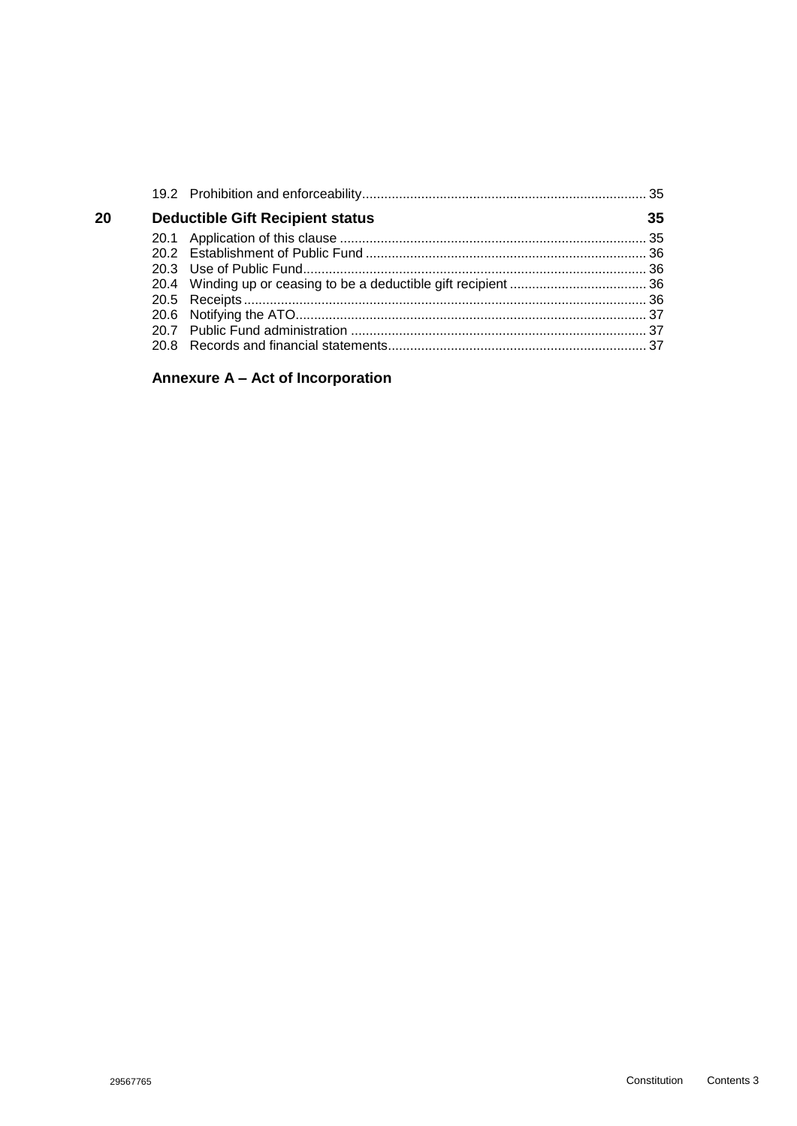| 20 | <b>Deductible Gift Recipient status</b> | 35 |
|----|-----------------------------------------|----|
|    |                                         |    |
|    |                                         |    |
|    |                                         |    |
|    |                                         |    |
|    |                                         |    |
|    |                                         |    |
|    |                                         |    |
|    |                                         |    |

# **Annexure A – [Act of Incorporation](#page-38-0)**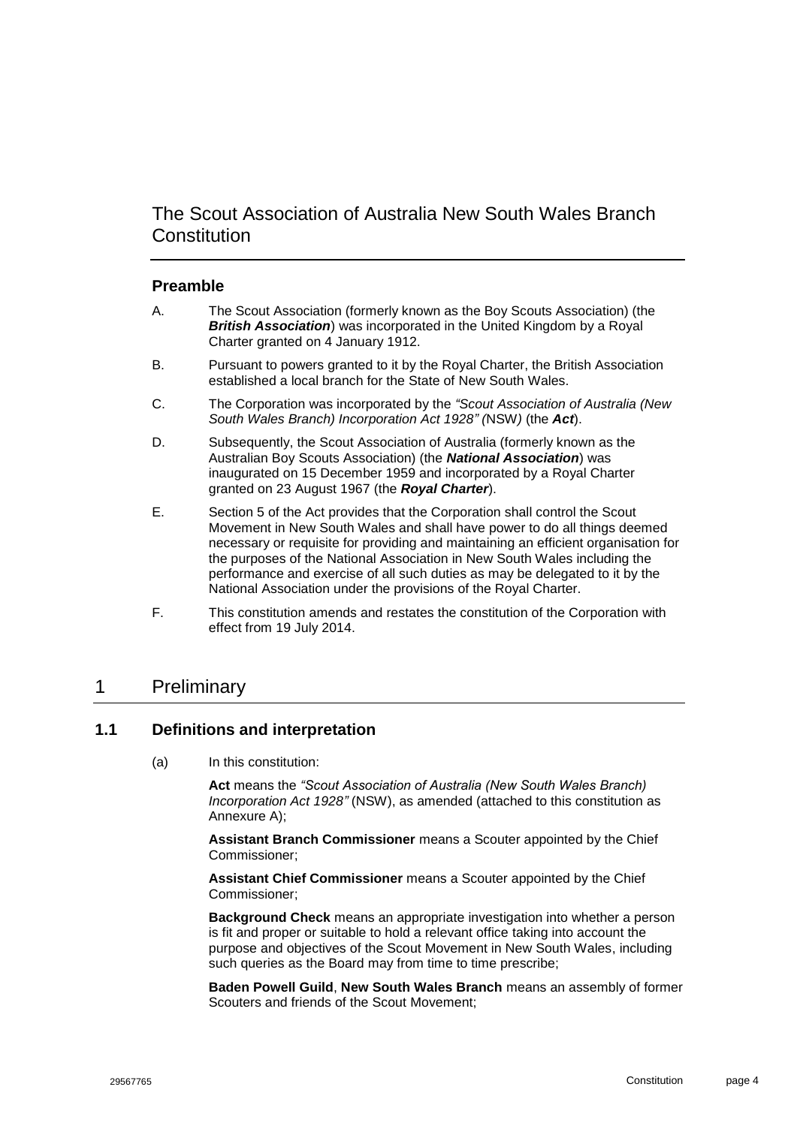# The Scout Association of Australia New South Wales Branch **Constitution**

#### **Preamble**

- A. The Scout Association (formerly known as the Boy Scouts Association) (the *British Association*) was incorporated in the United Kingdom by a Royal Charter granted on 4 January 1912.
- B. Pursuant to powers granted to it by the Royal Charter, the British Association established a local branch for the State of New South Wales.
- C. The Corporation was incorporated by the *"Scout Association of Australia (New South Wales Branch) Incorporation Act 1928" (*NSW*)* (the *Act*).
- D. Subsequently, the Scout Association of Australia (formerly known as the Australian Boy Scouts Association) (the *National Association*) was inaugurated on 15 December 1959 and incorporated by a Royal Charter granted on 23 August 1967 (the *Royal Charter*).
- E. Section 5 of the Act provides that the Corporation shall control the Scout Movement in New South Wales and shall have power to do all things deemed necessary or requisite for providing and maintaining an efficient organisation for the purposes of the National Association in New South Wales including the performance and exercise of all such duties as may be delegated to it by the National Association under the provisions of the Royal Charter.
- F. This constitution amends and restates the constitution of the Corporation with effect from 19 July 2014.

# <span id="page-4-0"></span>1 Preliminary

#### <span id="page-4-1"></span>**1.1 Definitions and interpretation**

(a) In this constitution:

**Act** means the *"Scout Association of Australia (New South Wales Branch) Incorporation Act 1928"* (NSW), as amended (attached to this constitution as Annexure A);

**Assistant Branch Commissioner** means a Scouter appointed by the Chief Commissioner;

**Assistant Chief Commissioner** means a Scouter appointed by the Chief Commissioner;

**Background Check** means an appropriate investigation into whether a person is fit and proper or suitable to hold a relevant office taking into account the purpose and objectives of the Scout Movement in New South Wales, including such queries as the Board may from time to time prescribe;

**Baden Powell Guild**, **New South Wales Branch** means an assembly of former Scouters and friends of the Scout Movement;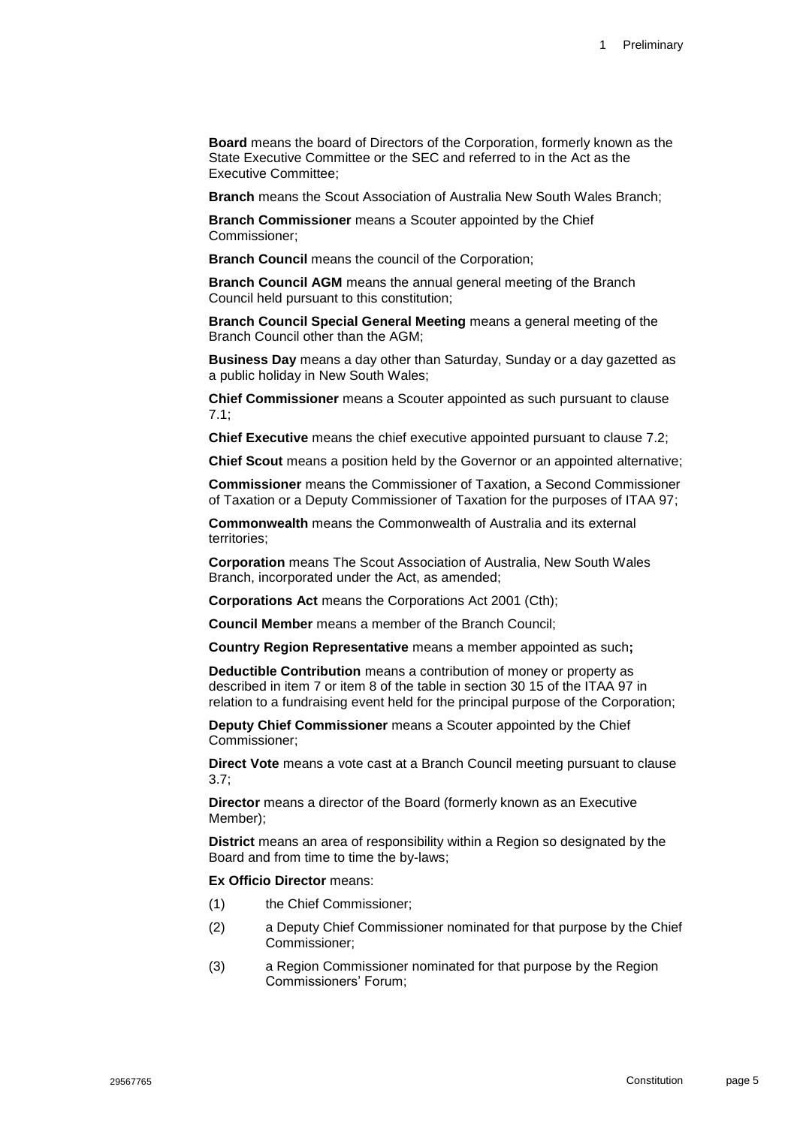**Board** means the board of Directors of the Corporation, formerly known as the State Executive Committee or the SEC and referred to in the Act as the Executive Committee;

**Branch** means the Scout Association of Australia New South Wales Branch;

**Branch Commissioner** means a Scouter appointed by the Chief Commissioner;

**Branch Council** means the council of the Corporation;

**Branch Council AGM** means the annual general meeting of the Branch Council held pursuant to this constitution;

**Branch Council Special General Meeting** means a general meeting of the Branch Council other than the AGM;

**Business Day** means a day other than Saturday, Sunday or a day gazetted as a public holiday in New South Wales;

**Chief Commissioner** means a Scouter appointed as such pursuant to clause [7.1;](#page-27-2)

**Chief Executive** means the chief executive appointed pursuant to clause [7.2;](#page-27-3)

**Chief Scout** means a position held by the Governor or an appointed alternative;

**Commissioner** means the Commissioner of Taxation, a Second Commissioner of Taxation or a Deputy Commissioner of Taxation for the purposes of ITAA 97;

**Commonwealth** means the Commonwealth of Australia and its external territories;

**Corporation** means The Scout Association of Australia, New South Wales Branch, incorporated under the Act, as amended;

**Corporations Act** means the Corporations Act 2001 (Cth);

**Council Member** means a member of the Branch Council;

**Country Region Representative** means a member appointed as such**;**

**Deductible Contribution** means a contribution of money or property as described in item 7 or item 8 of the table in section 30 15 of the ITAA 97 in relation to a fundraising event held for the principal purpose of the Corporation;

**Deputy Chief Commissioner** means a Scouter appointed by the Chief Commissioner;

**Direct Vote** means a vote cast at a Branch Council meeting pursuant to clause [3.7;](#page-18-0)

**Director** means a director of the Board (formerly known as an Executive Member);

**District** means an area of responsibility within a Region so designated by the Board and from time to time the by-laws;

#### **Ex Officio Director** means:

- (1) the Chief Commissioner;
- (2) a Deputy Chief Commissioner nominated for that purpose by the Chief Commissioner;
- (3) a Region Commissioner nominated for that purpose by the Region Commissioners' Forum;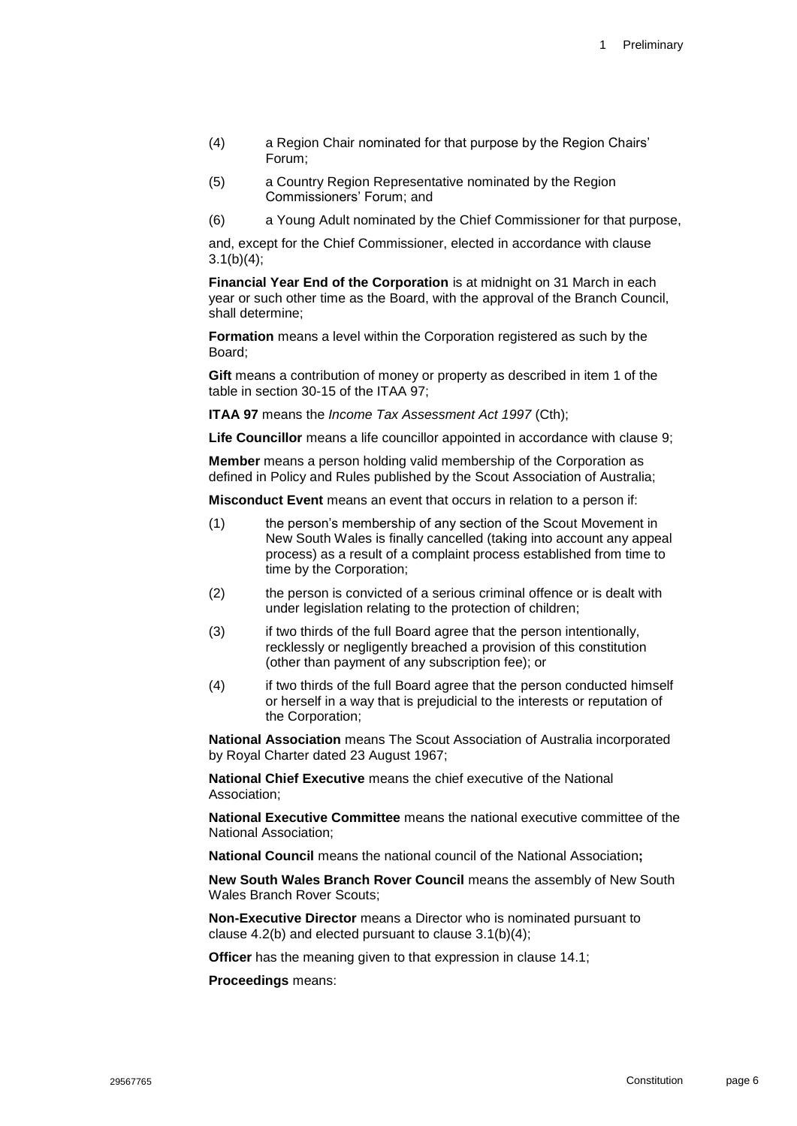- (4) a Region Chair nominated for that purpose by the Region Chairs' Forum;
- (5) a Country Region Representative nominated by the Region Commissioners' Forum; and
- (6) a Young Adult nominated by the Chief Commissioner for that purpose,

and, except for the Chief Commissioner, elected in accordance with clause [3.1\(b\)\(4\);](#page-14-4)

**Financial Year End of the Corporation** is at midnight on 31 March in each year or such other time as the Board, with the approval of the Branch Council, shall determine;

**Formation** means a level within the Corporation registered as such by the Board;

**Gift** means a contribution of money or property as described in item 1 of the table in section 30-15 of the ITAA 97;

**ITAA 97** means the *Income Tax Assessment Act 1997* (Cth);

**Life Councillor** means a life councillor appointed in accordance with clause [9;](#page-28-1)

**Member** means a person holding valid membership of the Corporation as defined in Policy and Rules published by the Scout Association of Australia;

**Misconduct Event** means an event that occurs in relation to a person if:

- (1) the person's membership of any section of the Scout Movement in New South Wales is finally cancelled (taking into account any appeal process) as a result of a complaint process established from time to time by the Corporation;
- (2) the person is convicted of a serious criminal offence or is dealt with under legislation relating to the protection of children;
- (3) if two thirds of the full Board agree that the person intentionally, recklessly or negligently breached a provision of this constitution (other than payment of any subscription fee); or
- (4) if two thirds of the full Board agree that the person conducted himself or herself in a way that is prejudicial to the interests or reputation of the Corporation;

**National Association** means The Scout Association of Australia incorporated by Royal Charter dated 23 August 1967;

**National Chief Executive** means the chief executive of the National Association;

**National Executive Committee** means the national executive committee of the National Association;

**National Council** means the national council of the National Association**;**

**New South Wales Branch Rover Council** means the assembly of New South Wales Branch Rover Scouts;

**Non-Executive Director** means a Director who is nominated pursuant to clause [4.2\(b\)](#page-20-1) and elected pursuant to clause [3.1\(b\)\(4\);](#page-14-4)

**Officer** has the meaning given to that expression in clause [14.1;](#page-29-3)

**Proceedings** means: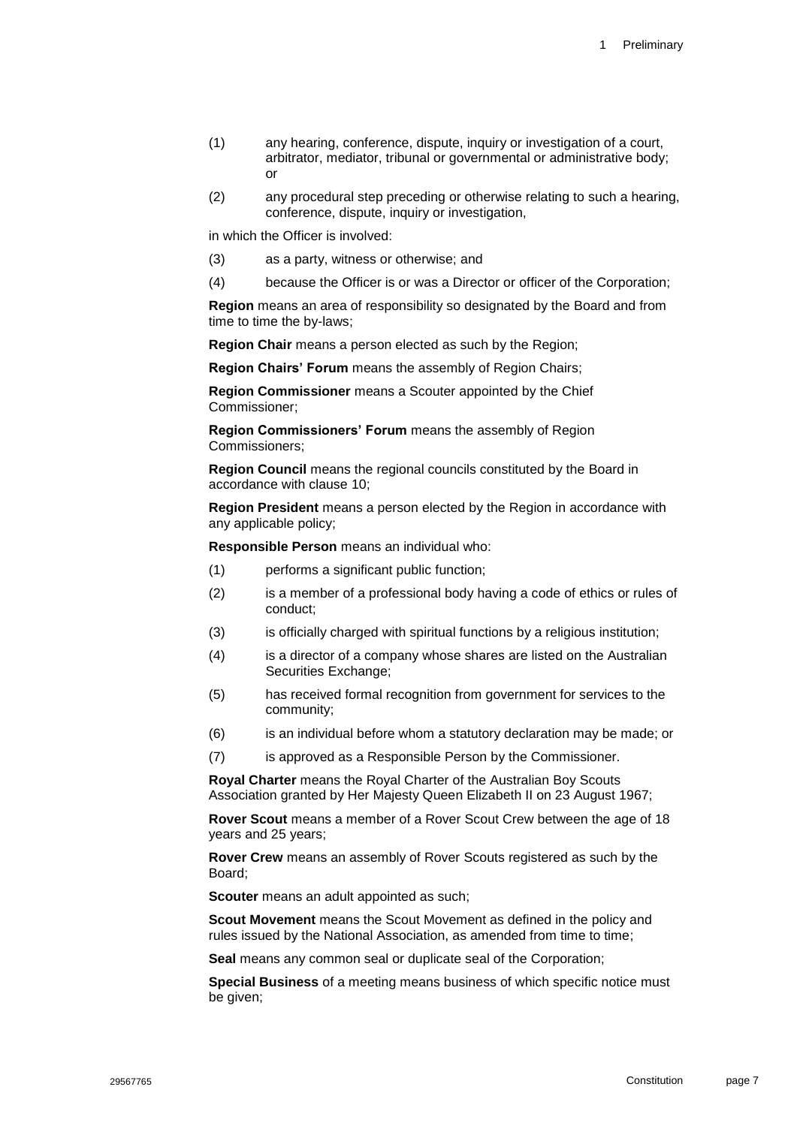- (1) any hearing, conference, dispute, inquiry or investigation of a court, arbitrator, mediator, tribunal or governmental or administrative body; or
- (2) any procedural step preceding or otherwise relating to such a hearing, conference, dispute, inquiry or investigation,

in which the Officer is involved:

- (3) as a party, witness or otherwise; and
- (4) because the Officer is or was a Director or officer of the Corporation;

**Region** means an area of responsibility so designated by the Board and from time to time the by-laws;

**Region Chair** means a person elected as such by the Region;

**Region Chairs' Forum** means the assembly of Region Chairs;

**Region Commissioner** means a Scouter appointed by the Chief Commissioner;

**Region Commissioners' Forum** means the assembly of Region Commissioners;

**Region Council** means the regional councils constituted by the Board in accordance with clause [10;](#page-28-2)

**Region President** means a person elected by the Region in accordance with any applicable policy;

**Responsible Person** means an individual who:

- (1) performs a significant public function;
- (2) is a member of a professional body having a code of ethics or rules of conduct;
- (3) is officially charged with spiritual functions by a religious institution;
- (4) is a director of a company whose shares are listed on the Australian Securities Exchange;
- (5) has received formal recognition from government for services to the community;
- (6) is an individual before whom a statutory declaration may be made; or
- (7) is approved as a Responsible Person by the Commissioner.

**Royal Charter** means the Royal Charter of the Australian Boy Scouts Association granted by Her Majesty Queen Elizabeth II on 23 August 1967;

**Rover Scout** means a member of a Rover Scout Crew between the age of 18 years and 25 years;

**Rover Crew** means an assembly of Rover Scouts registered as such by the Board;

**Scouter** means an adult appointed as such;

**Scout Movement** means the Scout Movement as defined in the policy and rules issued by the National Association, as amended from time to time;

**Seal** means any common seal or duplicate seal of the Corporation;

**Special Business** of a meeting means business of which specific notice must be given: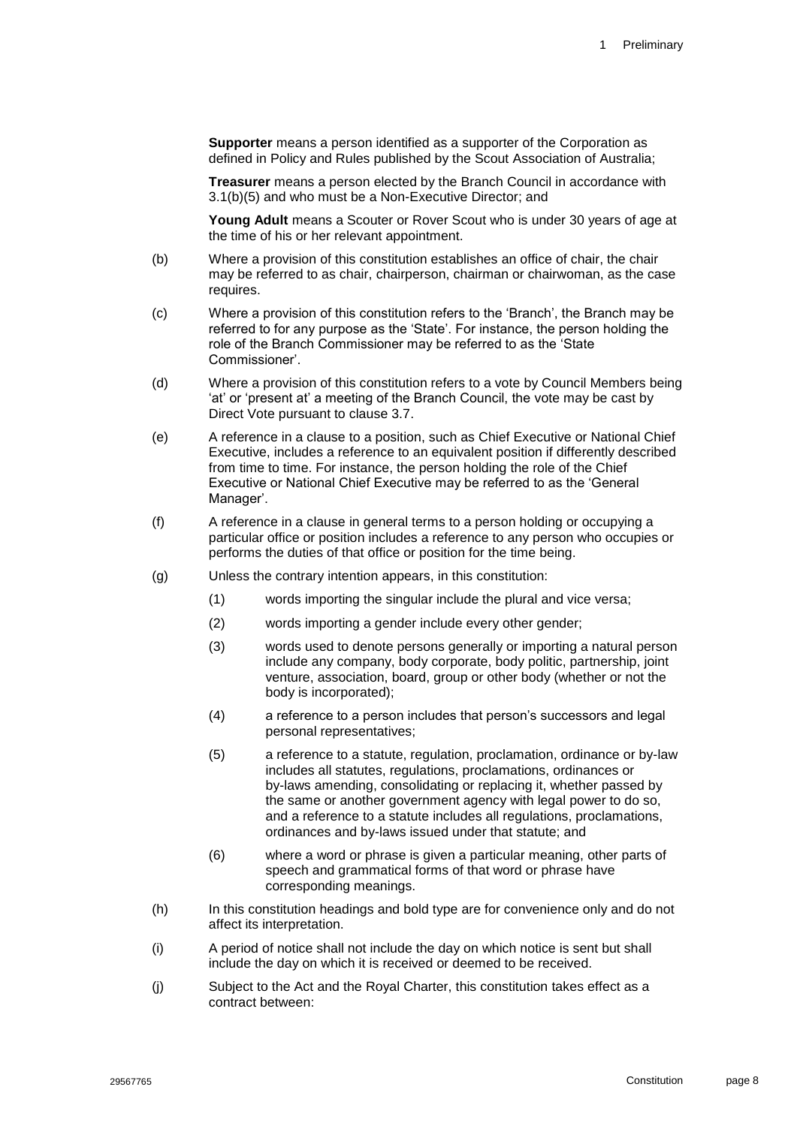**Supporter** means a person identified as a supporter of the Corporation as defined in Policy and Rules published by the Scout Association of Australia;

**Treasurer** means a person elected by the Branch Council in accordance with [3.1\(b\)\(5\)](#page-14-5) and who must be a Non-Executive Director; and

**Young Adult** means a Scouter or Rover Scout who is under 30 years of age at the time of his or her relevant appointment.

- (b) Where a provision of this constitution establishes an office of chair, the chair may be referred to as chair, chairperson, chairman or chairwoman, as the case requires.
- (c) Where a provision of this constitution refers to the 'Branch', the Branch may be referred to for any purpose as the 'State'. For instance, the person holding the role of the Branch Commissioner may be referred to as the 'State Commissioner'.
- (d) Where a provision of this constitution refers to a vote by Council Members being 'at' or 'present at' a meeting of the Branch Council, the vote may be cast by Direct Vote pursuant to clause 3.7.
- (e) A reference in a clause to a position, such as Chief Executive or National Chief Executive, includes a reference to an equivalent position if differently described from time to time. For instance, the person holding the role of the Chief Executive or National Chief Executive may be referred to as the 'General Manager'.
- (f) A reference in a clause in general terms to a person holding or occupying a particular office or position includes a reference to any person who occupies or performs the duties of that office or position for the time being.
- (g) Unless the contrary intention appears, in this constitution:
	- (1) words importing the singular include the plural and vice versa;
	- (2) words importing a gender include every other gender;
	- (3) words used to denote persons generally or importing a natural person include any company, body corporate, body politic, partnership, joint venture, association, board, group or other body (whether or not the body is incorporated);
	- (4) a reference to a person includes that person's successors and legal personal representatives;
	- (5) a reference to a statute, regulation, proclamation, ordinance or by-law includes all statutes, regulations, proclamations, ordinances or by-laws amending, consolidating or replacing it, whether passed by the same or another government agency with legal power to do so, and a reference to a statute includes all regulations, proclamations, ordinances and by-laws issued under that statute; and
	- (6) where a word or phrase is given a particular meaning, other parts of speech and grammatical forms of that word or phrase have corresponding meanings.
- (h) In this constitution headings and bold type are for convenience only and do not affect its interpretation.
- (i) A period of notice shall not include the day on which notice is sent but shall include the day on which it is received or deemed to be received.
- (j) Subject to the Act and the Royal Charter, this constitution takes effect as a contract between: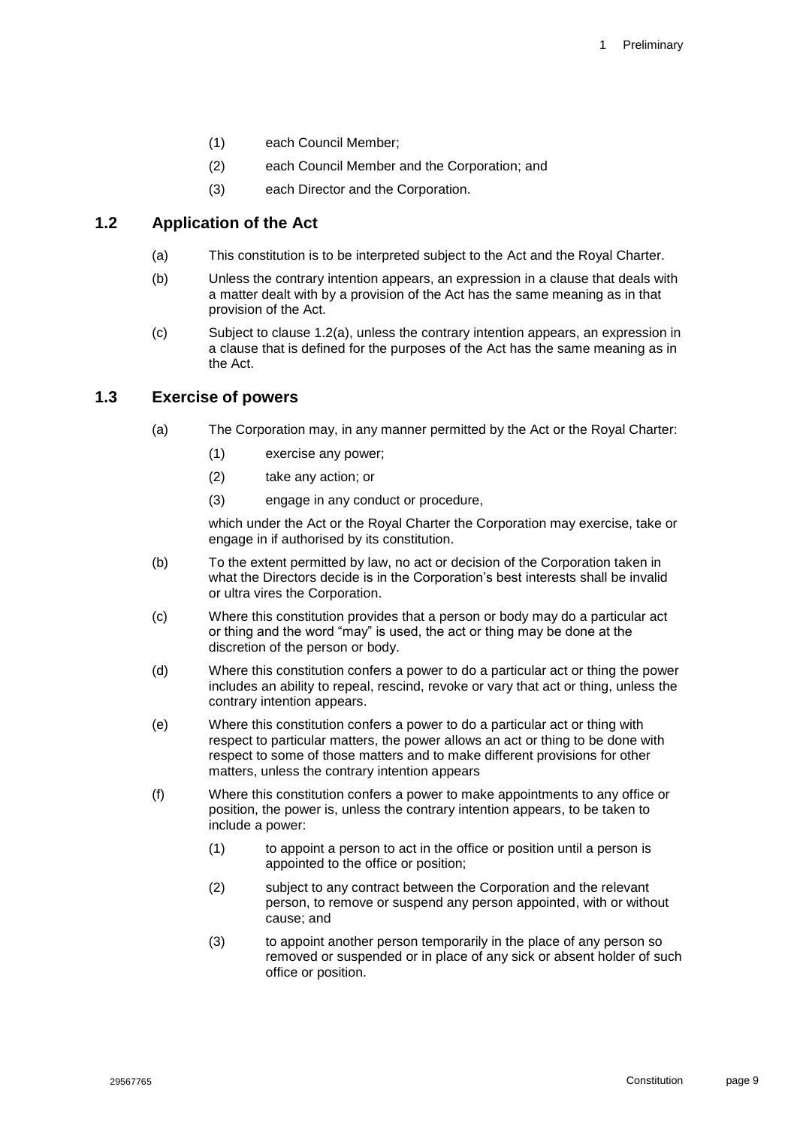- (1) each Council Member;
- (2) each Council Member and the Corporation; and
- <span id="page-9-2"></span>(3) each Director and the Corporation.

### <span id="page-9-0"></span>**1.2 Application of the Act**

- (a) This constitution is to be interpreted subject to the Act and the Royal Charter.
- (b) Unless the contrary intention appears, an expression in a clause that deals with a matter dealt with by a provision of the Act has the same meaning as in that provision of the Act.
- (c) Subject to clause [1.2\(a\),](#page-9-2) unless the contrary intention appears, an expression in a clause that is defined for the purposes of the Act has the same meaning as in the Act.

#### <span id="page-9-1"></span>**1.3 Exercise of powers**

- (a) The Corporation may, in any manner permitted by the Act or the Royal Charter:
	- (1) exercise any power;
	- (2) take any action; or
	- (3) engage in any conduct or procedure,

which under the Act or the Royal Charter the Corporation may exercise, take or engage in if authorised by its constitution.

- (b) To the extent permitted by law, no act or decision of the Corporation taken in what the Directors decide is in the Corporation's best interests shall be invalid or ultra vires the Corporation.
- (c) Where this constitution provides that a person or body may do a particular act or thing and the word "may" is used, the act or thing may be done at the discretion of the person or body.
- (d) Where this constitution confers a power to do a particular act or thing the power includes an ability to repeal, rescind, revoke or vary that act or thing, unless the contrary intention appears.
- (e) Where this constitution confers a power to do a particular act or thing with respect to particular matters, the power allows an act or thing to be done with respect to some of those matters and to make different provisions for other matters, unless the contrary intention appears
- (f) Where this constitution confers a power to make appointments to any office or position, the power is, unless the contrary intention appears, to be taken to include a power:
	- (1) to appoint a person to act in the office or position until a person is appointed to the office or position;
	- (2) subject to any contract between the Corporation and the relevant person, to remove or suspend any person appointed, with or without cause; and
	- (3) to appoint another person temporarily in the place of any person so removed or suspended or in place of any sick or absent holder of such office or position.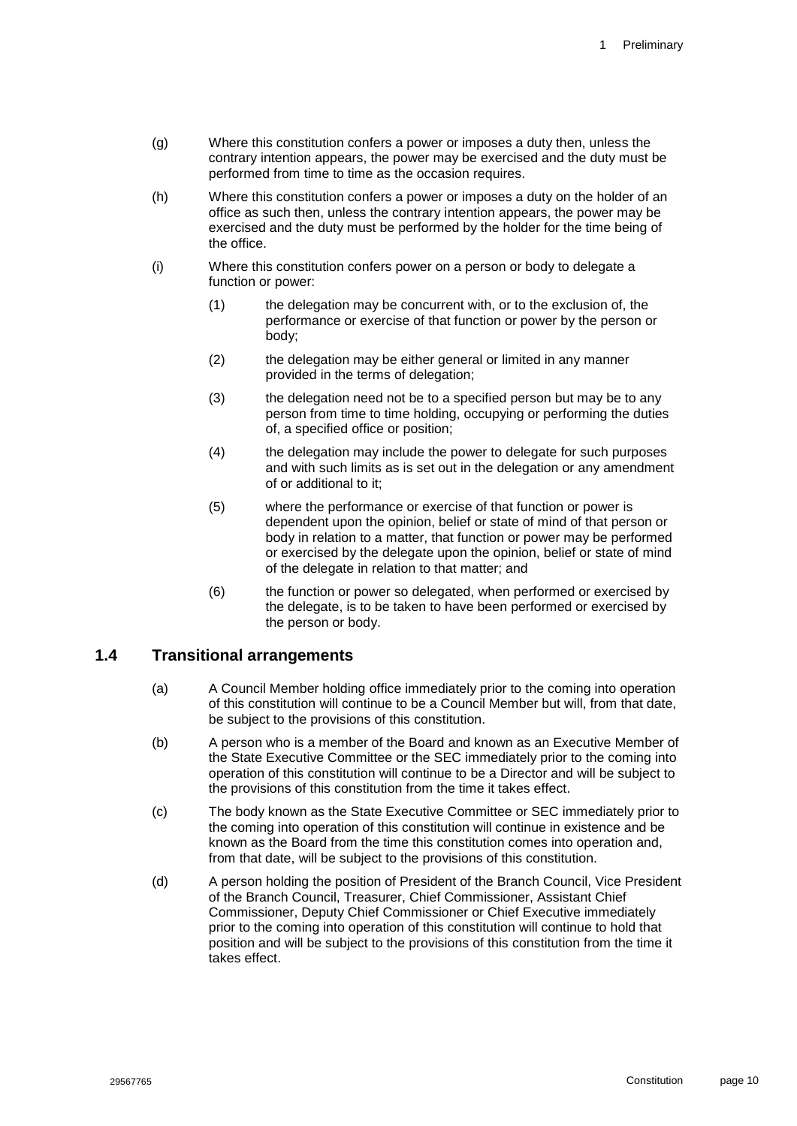- (g) Where this constitution confers a power or imposes a duty then, unless the contrary intention appears, the power may be exercised and the duty must be performed from time to time as the occasion requires.
- (h) Where this constitution confers a power or imposes a duty on the holder of an office as such then, unless the contrary intention appears, the power may be exercised and the duty must be performed by the holder for the time being of the office.
- (i) Where this constitution confers power on a person or body to delegate a function or power:
	- (1) the delegation may be concurrent with, or to the exclusion of, the performance or exercise of that function or power by the person or body;
	- (2) the delegation may be either general or limited in any manner provided in the terms of delegation;
	- (3) the delegation need not be to a specified person but may be to any person from time to time holding, occupying or performing the duties of, a specified office or position;
	- (4) the delegation may include the power to delegate for such purposes and with such limits as is set out in the delegation or any amendment of or additional to it;
	- (5) where the performance or exercise of that function or power is dependent upon the opinion, belief or state of mind of that person or body in relation to a matter, that function or power may be performed or exercised by the delegate upon the opinion, belief or state of mind of the delegate in relation to that matter; and
	- (6) the function or power so delegated, when performed or exercised by the delegate, is to be taken to have been performed or exercised by the person or body.

#### <span id="page-10-0"></span>**1.4 Transitional arrangements**

- (a) A Council Member holding office immediately prior to the coming into operation of this constitution will continue to be a Council Member but will, from that date, be subject to the provisions of this constitution.
- (b) A person who is a member of the Board and known as an Executive Member of the State Executive Committee or the SEC immediately prior to the coming into operation of this constitution will continue to be a Director and will be subject to the provisions of this constitution from the time it takes effect.
- (c) The body known as the State Executive Committee or SEC immediately prior to the coming into operation of this constitution will continue in existence and be known as the Board from the time this constitution comes into operation and, from that date, will be subject to the provisions of this constitution.
- (d) A person holding the position of President of the Branch Council, Vice President of the Branch Council, Treasurer, Chief Commissioner, Assistant Chief Commissioner, Deputy Chief Commissioner or Chief Executive immediately prior to the coming into operation of this constitution will continue to hold that position and will be subject to the provisions of this constitution from the time it takes effect.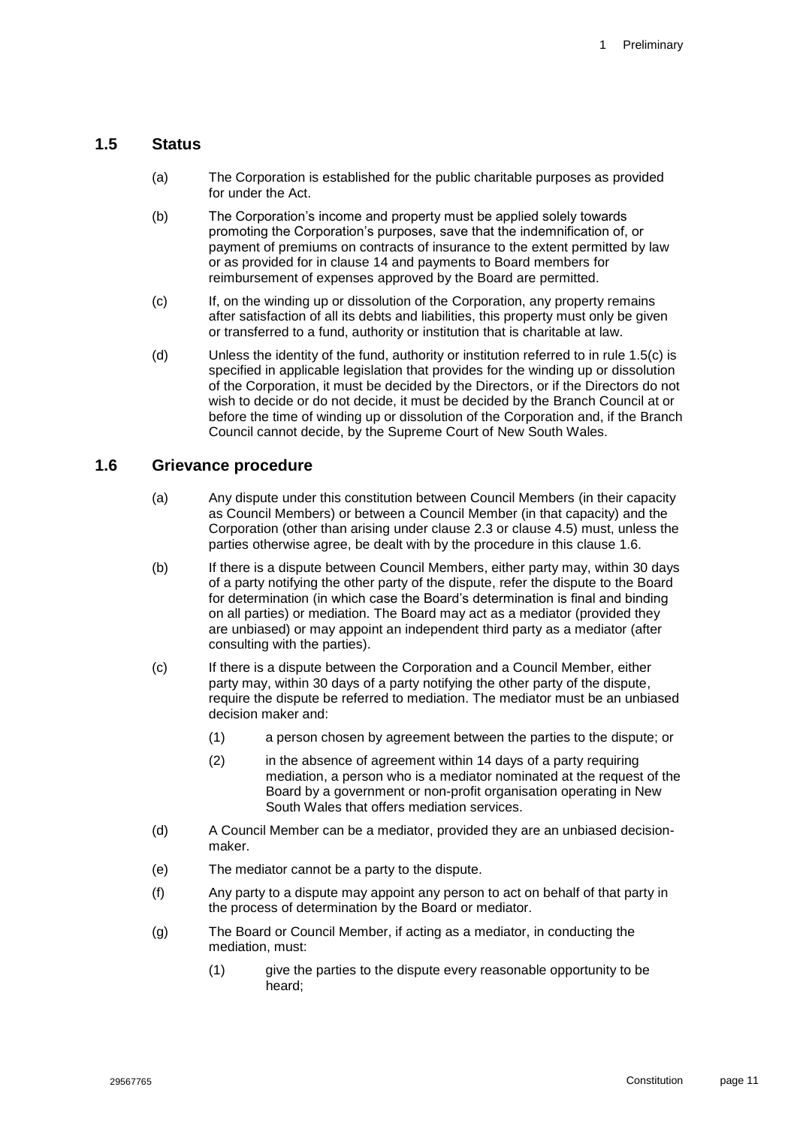#### <span id="page-11-3"></span><span id="page-11-0"></span>**1.5 Status**

- (a) The Corporation is established for the public charitable purposes as provided for under the Act.
- (b) The Corporation's income and property must be applied solely towards promoting the Corporation's purposes, save that the indemnification of, or payment of premiums on contracts of insurance to the extent permitted by law or as provided for in clause [14](#page-29-2) and payments to Board members for reimbursement of expenses approved by the Board are permitted.
- <span id="page-11-2"></span>(c) If, on the winding up or dissolution of the Corporation, any property remains after satisfaction of all its debts and liabilities, this property must only be given or transferred to a fund, authority or institution that is charitable at law.
- (d) Unless the identity of the fund, authority or institution referred to in rule [1.5](#page-11-0)[\(c\)](#page-11-2) is specified in applicable legislation that provides for the winding up or dissolution of the Corporation, it must be decided by the Directors, or if the Directors do not wish to decide or do not decide, it must be decided by the Branch Council at or before the time of winding up or dissolution of the Corporation and, if the Branch Council cannot decide, by the Supreme Court of New South Wales.

#### <span id="page-11-1"></span>**1.6 Grievance procedure**

- (a) Any dispute under this constitution between Council Members (in their capacity as Council Members) or between a Council Member (in that capacity) and the Corporation (other than arising under clause [2.3](#page-13-1) or clause [4.5\)](#page-21-1) must, unless the parties otherwise agree, be dealt with by the procedure in this clause [1.6.](#page-11-1)
- (b) If there is a dispute between Council Members, either party may, within 30 days of a party notifying the other party of the dispute, refer the dispute to the Board for determination (in which case the Board's determination is final and binding on all parties) or mediation. The Board may act as a mediator (provided they are unbiased) or may appoint an independent third party as a mediator (after consulting with the parties).
- (c) If there is a dispute between the Corporation and a Council Member, either party may, within 30 days of a party notifying the other party of the dispute, require the dispute be referred to mediation. The mediator must be an unbiased decision maker and:
	- (1) a person chosen by agreement between the parties to the dispute; or
	- (2) in the absence of agreement within 14 days of a party requiring mediation, a person who is a mediator nominated at the request of the Board by a government or non-profit organisation operating in New South Wales that offers mediation services.
- (d) A Council Member can be a mediator, provided they are an unbiased decisionmaker.
- (e) The mediator cannot be a party to the dispute.
- (f) Any party to a dispute may appoint any person to act on behalf of that party in the process of determination by the Board or mediator.
- (g) The Board or Council Member, if acting as a mediator, in conducting the mediation, must:
	- (1) give the parties to the dispute every reasonable opportunity to be heard;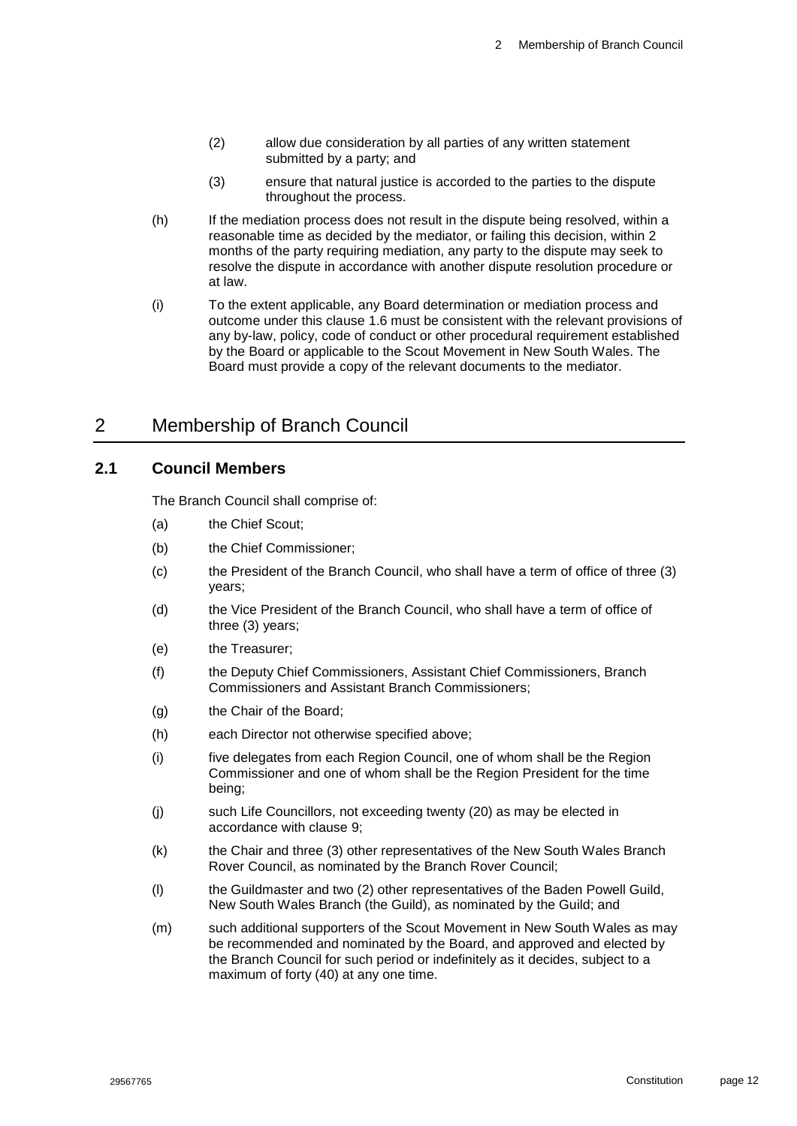- (2) allow due consideration by all parties of any written statement submitted by a party; and
- (3) ensure that natural justice is accorded to the parties to the dispute throughout the process.
- (h) If the mediation process does not result in the dispute being resolved, within a reasonable time as decided by the mediator, or failing this decision, within 2 months of the party requiring mediation, any party to the dispute may seek to resolve the dispute in accordance with another dispute resolution procedure or at law.
- (i) To the extent applicable, any Board determination or mediation process and outcome under this clause [1.6](#page-11-1) must be consistent with the relevant provisions of any by-law, policy, code of conduct or other procedural requirement established by the Board or applicable to the Scout Movement in New South Wales. The Board must provide a copy of the relevant documents to the mediator.

# <span id="page-12-0"></span>2 Membership of Branch Council

#### <span id="page-12-1"></span>**2.1 Council Members**

The Branch Council shall comprise of:

- (a) the Chief Scout;
- (b) the Chief Commissioner;
- (c) the President of the Branch Council, who shall have a term of office of three (3) years;
- (d) the Vice President of the Branch Council, who shall have a term of office of three (3) years;
- (e) the Treasurer;
- (f) the Deputy Chief Commissioners, Assistant Chief Commissioners, Branch Commissioners and Assistant Branch Commissioners;
- (g) the Chair of the Board;
- (h) each Director not otherwise specified above;
- (i) five delegates from each Region Council, one of whom shall be the Region Commissioner and one of whom shall be the Region President for the time being;
- (j) such Life Councillors, not exceeding twenty (20) as may be elected in accordance with clause [9;](#page-28-1)
- (k) the Chair and three (3) other representatives of the New South Wales Branch Rover Council, as nominated by the Branch Rover Council;
- (l) the Guildmaster and two (2) other representatives of the Baden Powell Guild, New South Wales Branch (the Guild), as nominated by the Guild; and
- (m) such additional supporters of the Scout Movement in New South Wales as may be recommended and nominated by the Board, and approved and elected by the Branch Council for such period or indefinitely as it decides, subject to a maximum of forty (40) at any one time.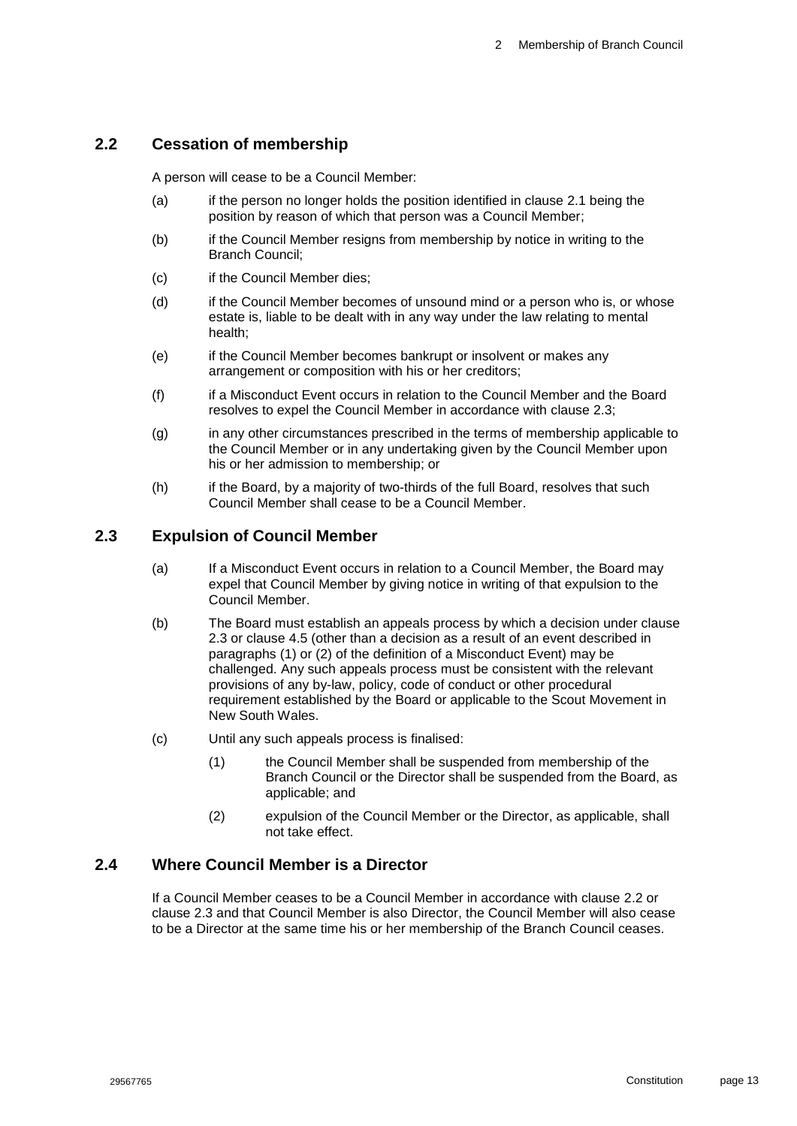### <span id="page-13-0"></span>**2.2 Cessation of membership**

A person will cease to be a Council Member:

- (a) if the person no longer holds the position identified in clause [2.1](#page-12-1) being the position by reason of which that person was a Council Member;
- (b) if the Council Member resigns from membership by notice in writing to the Branch Council;
- (c) if the Council Member dies;
- (d) if the Council Member becomes of unsound mind or a person who is, or whose estate is, liable to be dealt with in any way under the law relating to mental health;
- (e) if the Council Member becomes bankrupt or insolvent or makes any arrangement or composition with his or her creditors;
- (f) if a Misconduct Event occurs in relation to the Council Member and the Board resolves to expel the Council Member in accordance with clause 2.3;
- (g) in any other circumstances prescribed in the terms of membership applicable to the Council Member or in any undertaking given by the Council Member upon his or her admission to membership; or
- (h) if the Board, by a majority of two-thirds of the full Board, resolves that such Council Member shall cease to be a Council Member.

#### <span id="page-13-1"></span>**2.3 Expulsion of Council Member**

- (a) If a Misconduct Event occurs in relation to a Council Member, the Board may expel that Council Member by giving notice in writing of that expulsion to the Council Member.
- <span id="page-13-3"></span>(b) The Board must establish an appeals process by which a decision under clause [2.3](#page-13-1) or clause [4.5](#page-21-1) (other than a decision as a result of an event described in paragraphs (1) or (2) of the definition of a Misconduct Event) may be challenged. Any such appeals process must be consistent with the relevant provisions of any by-law, policy, code of conduct or other procedural requirement established by the Board or applicable to the Scout Movement in New South Wales.
- <span id="page-13-4"></span>(c) Until any such appeals process is finalised:
	- (1) the Council Member shall be suspended from membership of the Branch Council or the Director shall be suspended from the Board, as applicable; and
	- (2) expulsion of the Council Member or the Director, as applicable, shall not take effect.

#### <span id="page-13-2"></span>**2.4 Where Council Member is a Director**

If a Council Member ceases to be a Council Member in accordance with clause [2.2](#page-13-0) or clause [2.3](#page-13-1) and that Council Member is also Director, the Council Member will also cease to be a Director at the same time his or her membership of the Branch Council ceases.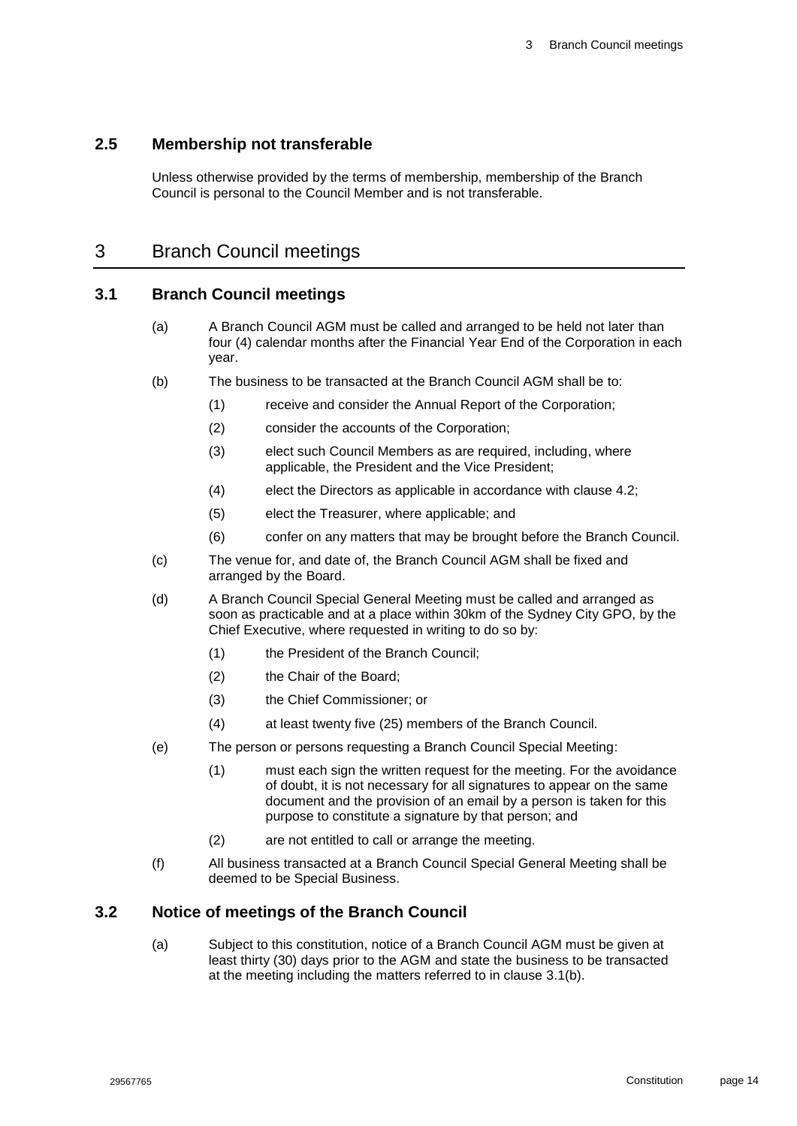#### <span id="page-14-0"></span>**2.5 Membership not transferable**

Unless otherwise provided by the terms of membership, membership of the Branch Council is personal to the Council Member and is not transferable.

# <span id="page-14-1"></span>3 Branch Council meetings

#### <span id="page-14-2"></span>**3.1 Branch Council meetings**

- (a) A Branch Council AGM must be called and arranged to be held not later than four (4) calendar months after the Financial Year End of the Corporation in each year.
- <span id="page-14-6"></span>(b) The business to be transacted at the Branch Council AGM shall be to:
	- (1) receive and consider the Annual Report of the Corporation;
	- (2) consider the accounts of the Corporation;
	- (3) elect such Council Members as are required, including, where applicable, the President and the Vice President;
	- (4) elect the Directors as applicable in accordance with clause [4.2;](#page-19-0)
	- (5) elect the Treasurer, where applicable; and
	- (6) confer on any matters that may be brought before the Branch Council.
- <span id="page-14-5"></span><span id="page-14-4"></span>(c) The venue for, and date of, the Branch Council AGM shall be fixed and arranged by the Board.
- (d) A Branch Council Special General Meeting must be called and arranged as soon as practicable and at a place within 30km of the Sydney City GPO, by the Chief Executive, where requested in writing to do so by:
	- (1) the President of the Branch Council;
	- (2) the Chair of the Board;
	- (3) the Chief Commissioner; or
	- (4) at least twenty five (25) members of the Branch Council.
- <span id="page-14-7"></span>(e) The person or persons requesting a Branch Council Special Meeting:
	- (1) must each sign the written request for the meeting. For the avoidance of doubt, it is not necessary for all signatures to appear on the same document and the provision of an email by a person is taken for this purpose to constitute a signature by that person; and
	- (2) are not entitled to call or arrange the meeting.
- (f) All business transacted at a Branch Council Special General Meeting shall be deemed to be Special Business.

#### <span id="page-14-3"></span>**3.2 Notice of meetings of the Branch Council**

(a) Subject to this constitution, notice of a Branch Council AGM must be given at least thirty (30) days prior to the AGM and state the business to be transacted at the meeting including the matters referred to in clause [3.1\(b\).](#page-14-6)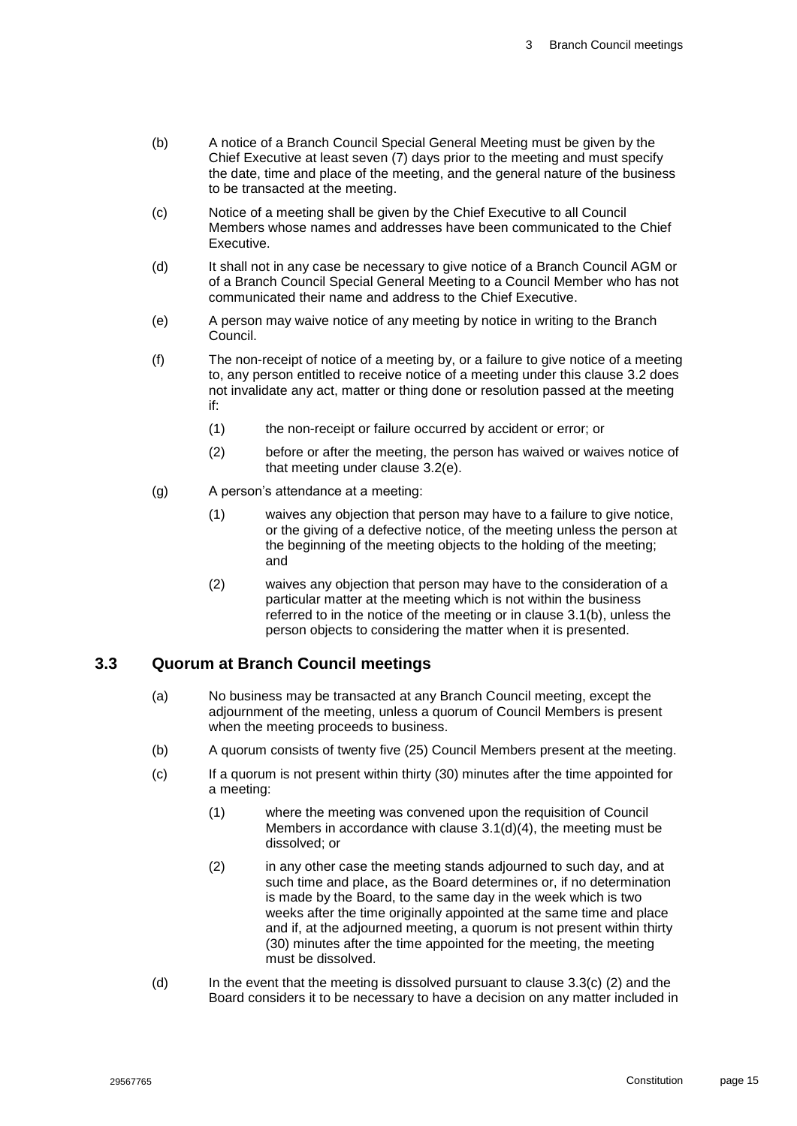- (b) A notice of a Branch Council Special General Meeting must be given by the Chief Executive at least seven (7) days prior to the meeting and must specify the date, time and place of the meeting, and the general nature of the business to be transacted at the meeting.
- (c) Notice of a meeting shall be given by the Chief Executive to all Council Members whose names and addresses have been communicated to the Chief Executive.
- (d) It shall not in any case be necessary to give notice of a Branch Council AGM or of a Branch Council Special General Meeting to a Council Member who has not communicated their name and address to the Chief Executive.
- <span id="page-15-1"></span>(e) A person may waive notice of any meeting by notice in writing to the Branch Council.
- (f) The non-receipt of notice of a meeting by, or a failure to give notice of a meeting to, any person entitled to receive notice of a meeting under this clause [3.2](#page-14-3) does not invalidate any act, matter or thing done or resolution passed at the meeting if:
	- (1) the non-receipt or failure occurred by accident or error; or
	- (2) before or after the meeting, the person has waived or waives notice of that meeting under clause [3.2\(e\).](#page-15-1)
- (g) A person's attendance at a meeting:
	- (1) waives any objection that person may have to a failure to give notice, or the giving of a defective notice, of the meeting unless the person at the beginning of the meeting objects to the holding of the meeting; and
	- (2) waives any objection that person may have to the consideration of a particular matter at the meeting which is not within the business referred to in the notice of the meeting or in clause [3.1\(b\),](#page-14-6) unless the person objects to considering the matter when it is presented.

#### <span id="page-15-0"></span>**3.3 Quorum at Branch Council meetings**

- (a) No business may be transacted at any Branch Council meeting, except the adjournment of the meeting, unless a quorum of Council Members is present when the meeting proceeds to business.
- (b) A quorum consists of twenty five (25) Council Members present at the meeting.
- (c) If a quorum is not present within thirty (30) minutes after the time appointed for a meeting:
	- (1) where the meeting was convened upon the requisition of Council Members in accordance with clause [3.1\(d\)\(4\),](#page-14-7) the meeting must be dissolved; or
	- (2) in any other case the meeting stands adjourned to such day, and at such time and place, as the Board determines or, if no determination is made by the Board, to the same day in the week which is two weeks after the time originally appointed at the same time and place and if, at the adjourned meeting, a quorum is not present within thirty (30) minutes after the time appointed for the meeting, the meeting must be dissolved.
- (d) In the event that the meeting is dissolved pursuant to clause 3.3(c) (2) and the Board considers it to be necessary to have a decision on any matter included in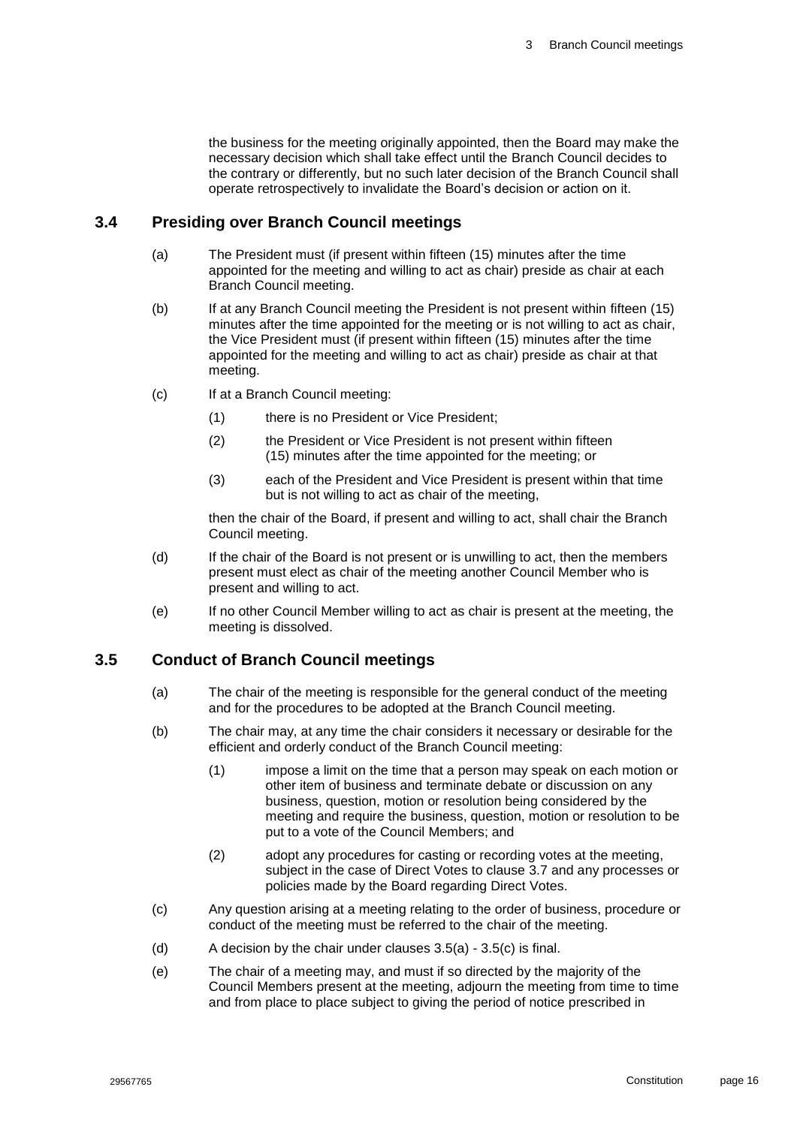the business for the meeting originally appointed, then the Board may make the necessary decision which shall take effect until the Branch Council decides to the contrary or differently, but no such later decision of the Branch Council shall operate retrospectively to invalidate the Board's decision or action on it.

#### <span id="page-16-0"></span>**3.4 Presiding over Branch Council meetings**

- (a) The President must (if present within fifteen (15) minutes after the time appointed for the meeting and willing to act as chair) preside as chair at each Branch Council meeting.
- (b) If at any Branch Council meeting the President is not present within fifteen (15) minutes after the time appointed for the meeting or is not willing to act as chair, the Vice President must (if present within fifteen (15) minutes after the time appointed for the meeting and willing to act as chair) preside as chair at that meeting.
- (c) If at a Branch Council meeting:
	- (1) there is no President or Vice President;
	- (2) the President or Vice President is not present within fifteen (15) minutes after the time appointed for the meeting; or
	- (3) each of the President and Vice President is present within that time but is not willing to act as chair of the meeting,

then the chair of the Board, if present and willing to act, shall chair the Branch Council meeting.

- (d) If the chair of the Board is not present or is unwilling to act, then the members present must elect as chair of the meeting another Council Member who is present and willing to act.
- (e) If no other Council Member willing to act as chair is present at the meeting, the meeting is dissolved.

#### <span id="page-16-2"></span><span id="page-16-1"></span>**3.5 Conduct of Branch Council meetings**

- (a) The chair of the meeting is responsible for the general conduct of the meeting and for the procedures to be adopted at the Branch Council meeting.
- (b) The chair may, at any time the chair considers it necessary or desirable for the efficient and orderly conduct of the Branch Council meeting:
	- (1) impose a limit on the time that a person may speak on each motion or other item of business and terminate debate or discussion on any business, question, motion or resolution being considered by the meeting and require the business, question, motion or resolution to be put to a vote of the Council Members; and
	- (2) adopt any procedures for casting or recording votes at the meeting, subject in the case of Direct Votes to clause [3.7](#page-18-0) and any processes or policies made by the Board regarding Direct Votes.
- <span id="page-16-3"></span>(c) Any question arising at a meeting relating to the order of business, procedure or conduct of the meeting must be referred to the chair of the meeting.
- (d) A decision by the chair under clauses  $3.5(a) 3.5(c)$  $3.5(a) 3.5(c)$  $3.5(a) 3.5(c)$  is final.
- (e) The chair of a meeting may, and must if so directed by the majority of the Council Members present at the meeting, adjourn the meeting from time to time and from place to place subject to giving the period of notice prescribed in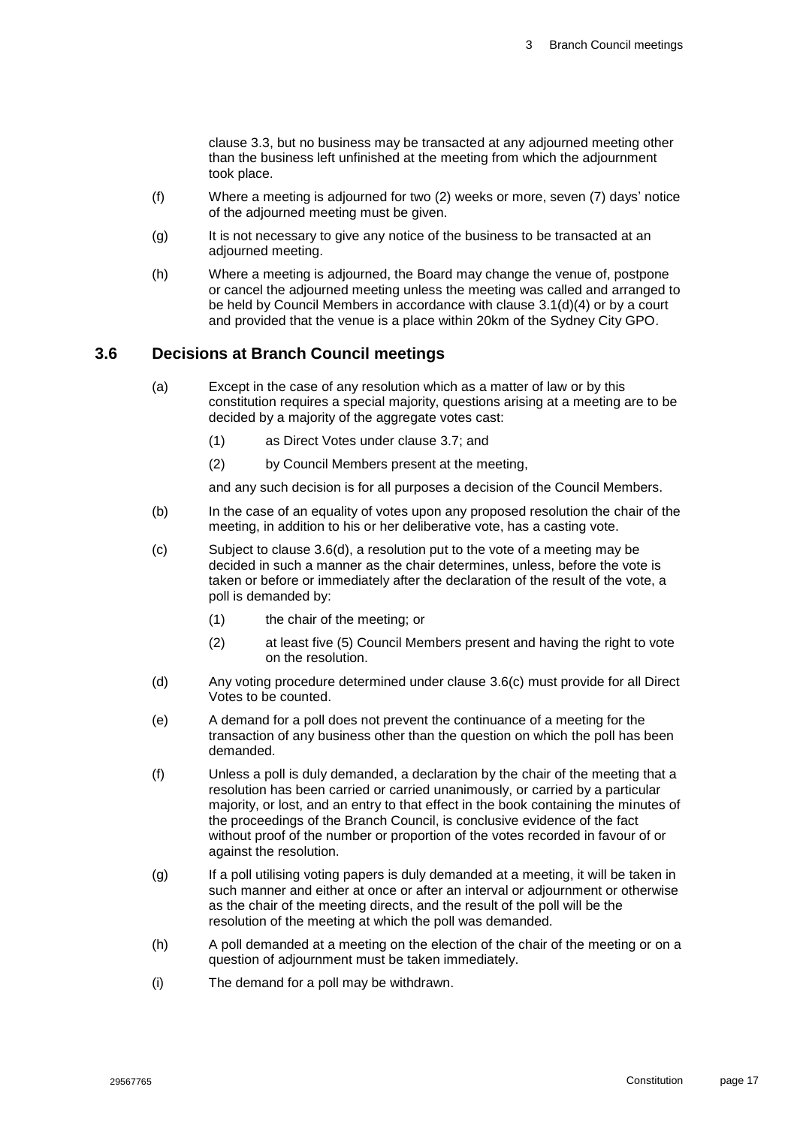clause [3.3,](#page-15-0) but no business may be transacted at any adjourned meeting other than the business left unfinished at the meeting from which the adjournment took place.

- (f) Where a meeting is adjourned for two (2) weeks or more, seven (7) days' notice of the adjourned meeting must be given.
- (g) It is not necessary to give any notice of the business to be transacted at an adjourned meeting.
- (h) Where a meeting is adjourned, the Board may change the venue of, postpone or cancel the adjourned meeting unless the meeting was called and arranged to be held by Council Members in accordance with clause [3.1\(d\)\(4\)](#page-14-7) or by a court and provided that the venue is a place within 20km of the Sydney City GPO.

#### <span id="page-17-0"></span>**3.6 Decisions at Branch Council meetings**

- (a) Except in the case of any resolution which as a matter of law or by this constitution requires a special majority, questions arising at a meeting are to be decided by a majority of the aggregate votes cast:
	- (1) as Direct Votes under clause [3.7;](#page-18-0) and
	- (2) by Council Members present at the meeting,

and any such decision is for all purposes a decision of the Council Members.

- (b) In the case of an equality of votes upon any proposed resolution the chair of the meeting, in addition to his or her deliberative vote, has a casting vote.
- <span id="page-17-2"></span>(c) Subject to clause [3.6\(d\),](#page-17-1) a resolution put to the vote of a meeting may be decided in such a manner as the chair determines, unless, before the vote is taken or before or immediately after the declaration of the result of the vote, a poll is demanded by:
	- (1) the chair of the meeting; or
	- (2) at least five (5) Council Members present and having the right to vote on the resolution.
- <span id="page-17-1"></span>(d) Any voting procedure determined under clause [3.6\(c\)](#page-17-2) must provide for all Direct Votes to be counted.
- (e) A demand for a poll does not prevent the continuance of a meeting for the transaction of any business other than the question on which the poll has been demanded.
- (f) Unless a poll is duly demanded, a declaration by the chair of the meeting that a resolution has been carried or carried unanimously, or carried by a particular majority, or lost, and an entry to that effect in the book containing the minutes of the proceedings of the Branch Council, is conclusive evidence of the fact without proof of the number or proportion of the votes recorded in favour of or against the resolution.
- (g) If a poll utilising voting papers is duly demanded at a meeting, it will be taken in such manner and either at once or after an interval or adjournment or otherwise as the chair of the meeting directs, and the result of the poll will be the resolution of the meeting at which the poll was demanded.
- (h) A poll demanded at a meeting on the election of the chair of the meeting or on a question of adjournment must be taken immediately.
- (i) The demand for a poll may be withdrawn.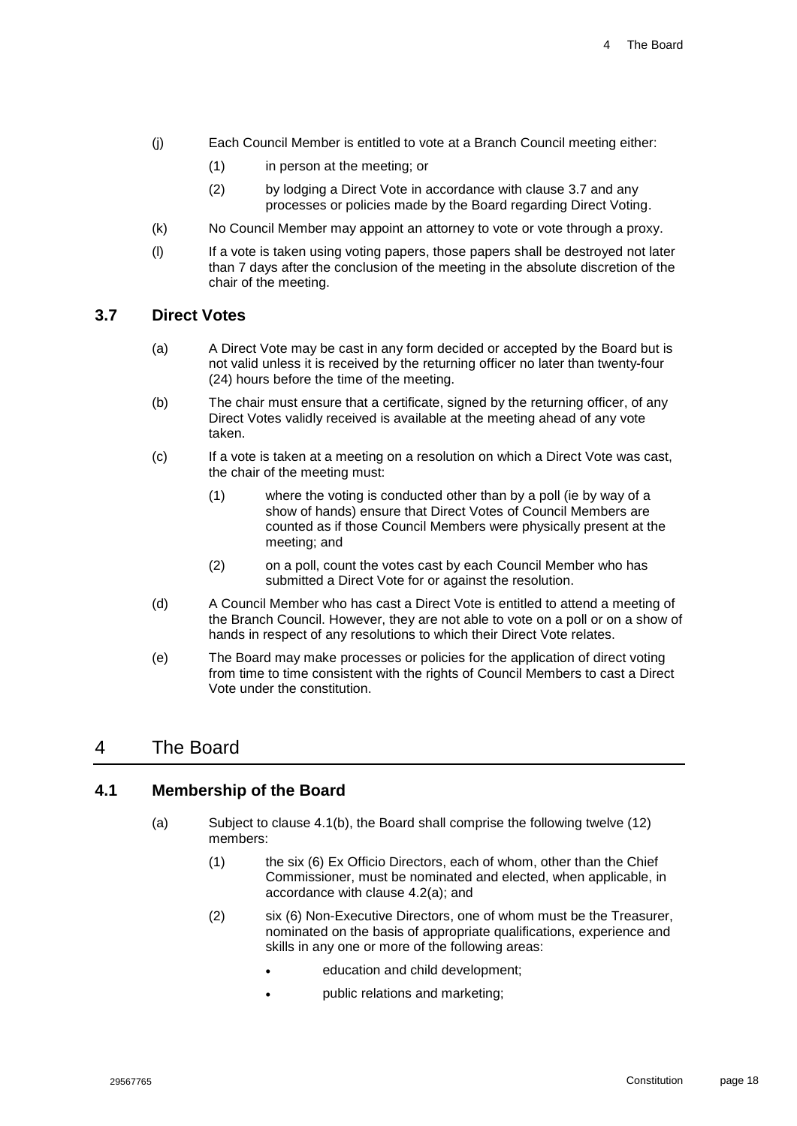- (j) Each Council Member is entitled to vote at a Branch Council meeting either:
	- (1) in person at the meeting; or
	- (2) by lodging a Direct Vote in accordance with clause [3.7](#page-18-0) and any processes or policies made by the Board regarding Direct Voting.
- (k) No Council Member may appoint an attorney to vote or vote through a proxy.
- (l) If a vote is taken using voting papers, those papers shall be destroyed not later than 7 days after the conclusion of the meeting in the absolute discretion of the chair of the meeting.

#### <span id="page-18-0"></span>**3.7 Direct Votes**

- (a) A Direct Vote may be cast in any form decided or accepted by the Board but is not valid unless it is received by the returning officer no later than twenty-four (24) hours before the time of the meeting.
- (b) The chair must ensure that a certificate, signed by the returning officer, of any Direct Votes validly received is available at the meeting ahead of any vote taken.
- (c) If a vote is taken at a meeting on a resolution on which a Direct Vote was cast, the chair of the meeting must:
	- (1) where the voting is conducted other than by a poll (ie by way of a show of hands) ensure that Direct Votes of Council Members are counted as if those Council Members were physically present at the meeting; and
	- (2) on a poll, count the votes cast by each Council Member who has submitted a Direct Vote for or against the resolution.
- (d) A Council Member who has cast a Direct Vote is entitled to attend a meeting of the Branch Council. However, they are not able to vote on a poll or on a show of hands in respect of any resolutions to which their Direct Vote relates.
- (e) The Board may make processes or policies for the application of direct voting from time to time consistent with the rights of Council Members to cast a Direct Vote under the constitution.

### <span id="page-18-1"></span>4 The Board

#### <span id="page-18-2"></span>**4.1 Membership of the Board**

- <span id="page-18-3"></span>(a) Subject to clause [4.1\(b\),](#page-19-1) the Board shall comprise the following twelve (12) members:
	- (1) the six (6) Ex Officio Directors, each of whom, other than the Chief Commissioner, must be nominated and elected, when applicable, in accordance with clause [4.2\(a\);](#page-19-2) and
	- (2) six (6) Non-Executive Directors, one of whom must be the Treasurer, nominated on the basis of appropriate qualifications, experience and skills in any one or more of the following areas:
		- education and child development;
		- public relations and marketing;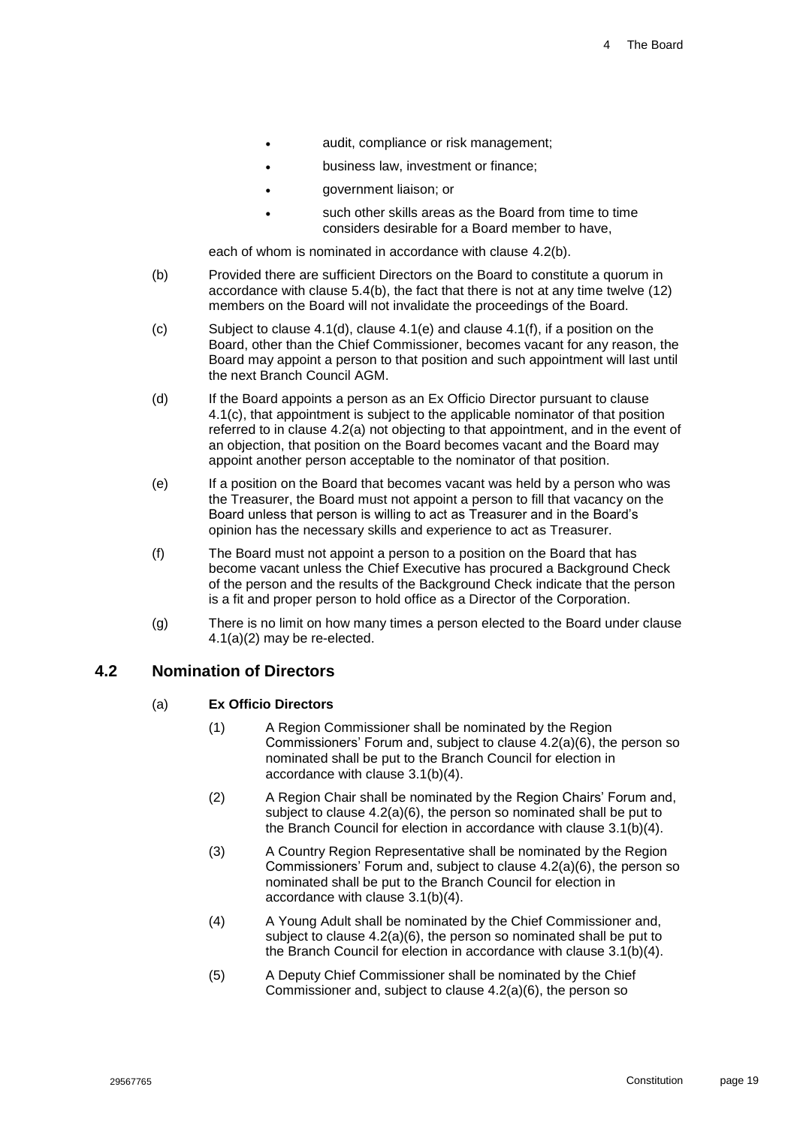- audit, compliance or risk management;
- business law, investment or finance;
- government liaison; or
- such other skills areas as the Board from time to time considers desirable for a Board member to have,

each of whom is nominated in accordance with clause [4.2\(b\).](#page-20-1)

- <span id="page-19-1"></span>(b) Provided there are sufficient Directors on the Board to constitute a quorum in accordance with clause [5.4\(b\),](#page-23-2) the fact that there is not at any time twelve (12) members on the Board will not invalidate the proceedings of the Board.
- <span id="page-19-6"></span>(c) Subject to clause [4.1\(d\),](#page-19-3) clause [4.1\(e\)](#page-19-4) and clause [4.1\(f\),](#page-19-5) if a position on the Board, other than the Chief Commissioner, becomes vacant for any reason, the Board may appoint a person to that position and such appointment will last until the next Branch Council AGM.
- <span id="page-19-3"></span>(d) If the Board appoints a person as an Ex Officio Director pursuant to clause [4.1\(c\),](#page-19-6) that appointment is subject to the applicable nominator of that position referred to in clause [4.2\(a\)](#page-19-2) not objecting to that appointment, and in the event of an objection, that position on the Board becomes vacant and the Board may appoint another person acceptable to the nominator of that position.
- <span id="page-19-4"></span>(e) If a position on the Board that becomes vacant was held by a person who was the Treasurer, the Board must not appoint a person to fill that vacancy on the Board unless that person is willing to act as Treasurer and in the Board's opinion has the necessary skills and experience to act as Treasurer.
- <span id="page-19-5"></span>(f) The Board must not appoint a person to a position on the Board that has become vacant unless the Chief Executive has procured a Background Check of the person and the results of the Background Check indicate that the person is a fit and proper person to hold office as a Director of the Corporation.
- (g) There is no limit on how many times a person elected to the Board under clause [4.1\(a\)\(2\)](#page-18-3) may be re-elected.

### <span id="page-19-2"></span><span id="page-19-0"></span>**4.2 Nomination of Directors**

#### (a) **Ex Officio Directors**

- (1) A Region Commissioner shall be nominated by the Region Commissioners' Forum and, subject to clause [4.2\(a\)\(6\),](#page-20-2) the person so nominated shall be put to the Branch Council for election in accordance with clause [3.1\(b\)\(4\).](#page-14-4)
- (2) A Region Chair shall be nominated by the Region Chairs' Forum and, subject to clause [4.2\(a\)\(6\),](#page-20-2) the person so nominated shall be put to the Branch Council for election in accordance with clause [3.1\(b\)\(4\).](#page-14-4)
- (3) A Country Region Representative shall be nominated by the Region Commissioners' Forum and, subject to clause [4.2\(a\)\(6\),](#page-20-2) the person so nominated shall be put to the Branch Council for election in accordance with clause [3.1\(b\)\(4\).](#page-14-4)
- (4) A Young Adult shall be nominated by the Chief Commissioner and, subject to clause [4.2\(a\)\(6\),](#page-20-2) the person so nominated shall be put to the Branch Council for election in accordance with clause [3.1\(b\)\(4\).](#page-14-4)
- (5) A Deputy Chief Commissioner shall be nominated by the Chief Commissioner and, subject to clause [4.2](#page-19-0)[\(a\)](#page-19-2)[\(6\),](#page-20-2) the person so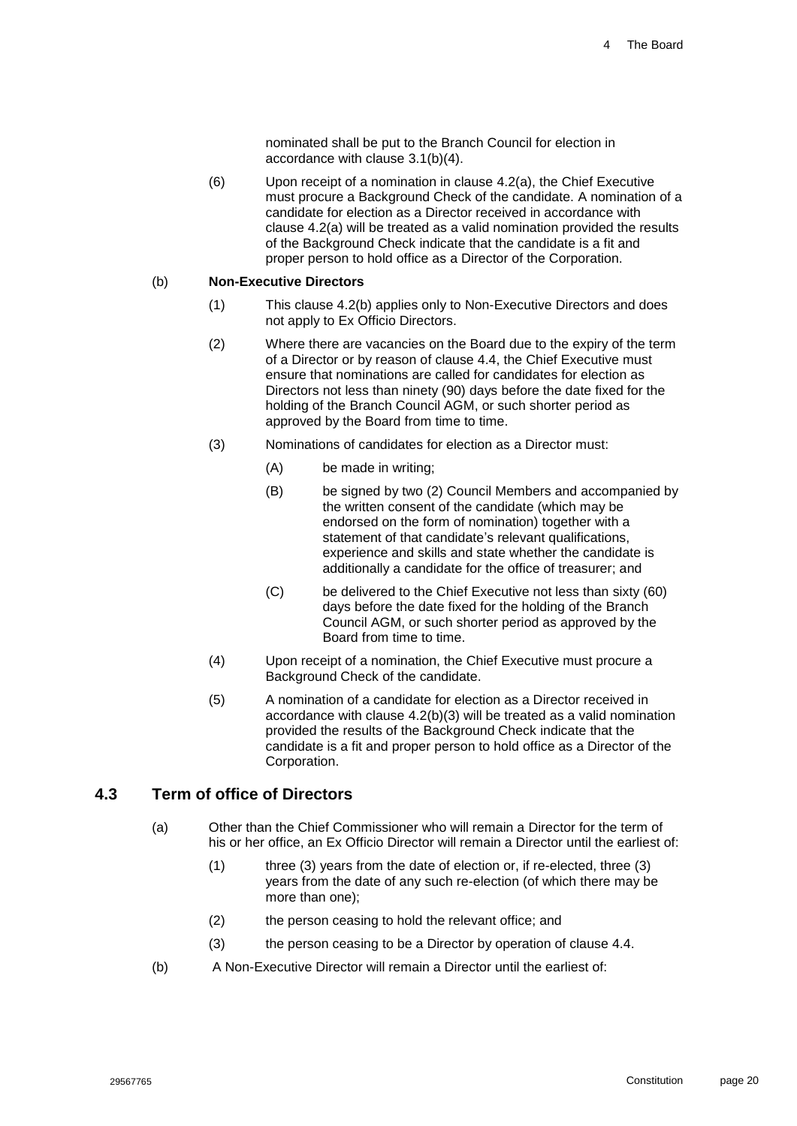nominated shall be put to the Branch Council for election in accordance with clause [3.1\(b\)\(4\).](#page-14-4)

<span id="page-20-2"></span>(6) Upon receipt of a nomination in clause [4.2](#page-19-0)[\(a\),](#page-19-2) the Chief Executive must procure a Background Check of the candidate. A nomination of a candidate for election as a Director received in accordance with clause [4.2](#page-19-0)[\(a\)](#page-19-2) will be treated as a valid nomination provided the results of the Background Check indicate that the candidate is a fit and proper person to hold office as a Director of the Corporation.

#### <span id="page-20-1"></span>(b) **Non-Executive Directors**

- (1) This clause [4.2\(b\)](#page-20-1) applies only to Non-Executive Directors and does not apply to Ex Officio Directors.
- (2) Where there are vacancies on the Board due to the expiry of the term of a Director or by reason of clause [4.4,](#page-21-0) the Chief Executive must ensure that nominations are called for candidates for election as Directors not less than ninety (90) days before the date fixed for the holding of the Branch Council AGM, or such shorter period as approved by the Board from time to time.
- <span id="page-20-3"></span>(3) Nominations of candidates for election as a Director must:
	- (A) be made in writing;
	- (B) be signed by two (2) Council Members and accompanied by the written consent of the candidate (which may be endorsed on the form of nomination) together with a statement of that candidate's relevant qualifications, experience and skills and state whether the candidate is additionally a candidate for the office of treasurer; and
	- (C) be delivered to the Chief Executive not less than sixty (60) days before the date fixed for the holding of the Branch Council AGM, or such shorter period as approved by the Board from time to time.
- (4) Upon receipt of a nomination, the Chief Executive must procure a Background Check of the candidate.
- (5) A nomination of a candidate for election as a Director received in accordance with clause [4.2\(b\)\(3\)](#page-20-3) will be treated as a valid nomination provided the results of the Background Check indicate that the candidate is a fit and proper person to hold office as a Director of the Corporation.

#### <span id="page-20-0"></span>**4.3 Term of office of Directors**

- (a) Other than the Chief Commissioner who will remain a Director for the term of his or her office, an Ex Officio Director will remain a Director until the earliest of:
	- (1) three (3) years from the date of election or, if re-elected, three (3) years from the date of any such re-election (of which there may be more than one);
	- (2) the person ceasing to hold the relevant office; and
	- (3) the person ceasing to be a Director by operation of clause [4.4.](#page-21-0)
- (b) A Non-Executive Director will remain a Director until the earliest of: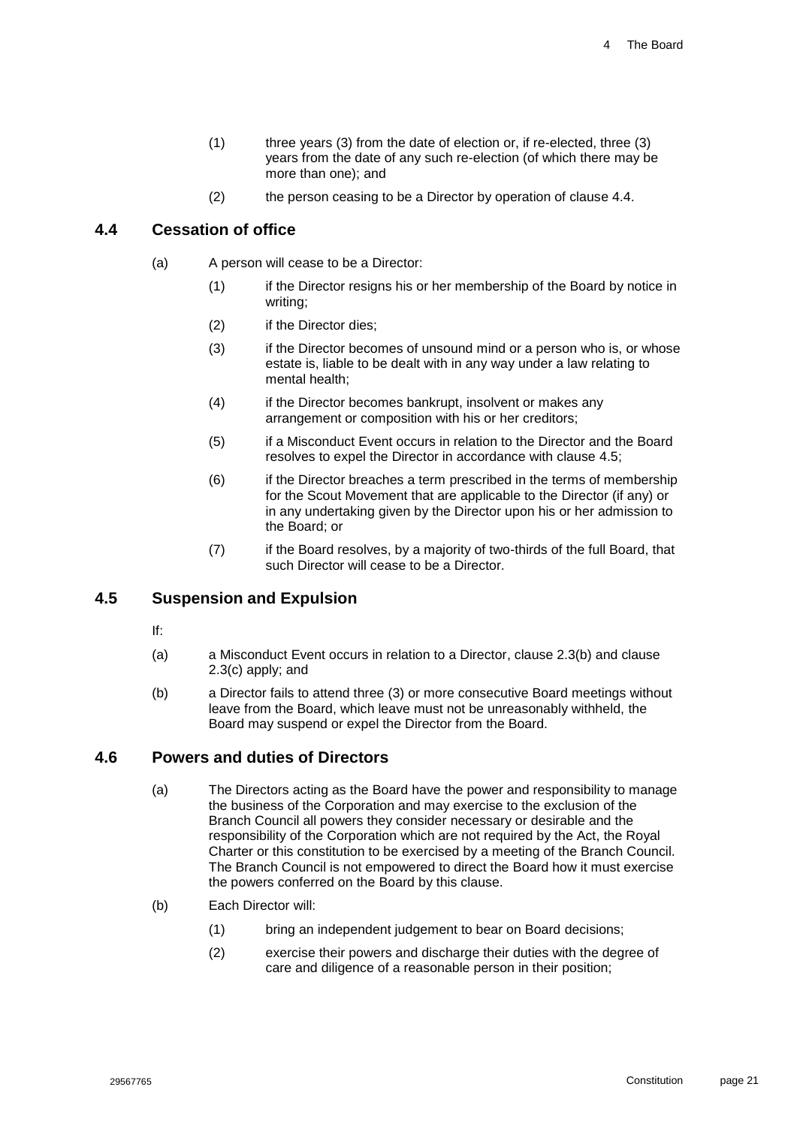- (1) three years (3) from the date of election or, if re-elected, three (3) years from the date of any such re-election (of which there may be more than one); and
- (2) the person ceasing to be a Director by operation of clause [4.4.](#page-21-0)

### <span id="page-21-0"></span>**4.4 Cessation of office**

- (a) A person will cease to be a Director:
	- (1) if the Director resigns his or her membership of the Board by notice in writing;
	- (2) if the Director dies;
	- (3) if the Director becomes of unsound mind or a person who is, or whose estate is, liable to be dealt with in any way under a law relating to mental health;
	- (4) if the Director becomes bankrupt, insolvent or makes any arrangement or composition with his or her creditors;
	- (5) if a Misconduct Event occurs in relation to the Director and the Board resolves to expel the Director in accordance with clause [4.5;](#page-21-1)
	- (6) if the Director breaches a term prescribed in the terms of membership for the Scout Movement that are applicable to the Director (if any) or in any undertaking given by the Director upon his or her admission to the Board; or
	- (7) if the Board resolves, by a majority of two-thirds of the full Board, that such Director will cease to be a Director.

### <span id="page-21-1"></span>**4.5 Suspension and Expulsion**

- If:
- (a) a Misconduct Event occurs in relation to a Director, clause [2.3\(b\)](#page-13-3) and clause [2.3\(c\)](#page-13-4) apply; and
- (b) a Director fails to attend three (3) or more consecutive Board meetings without leave from the Board, which leave must not be unreasonably withheld, the Board may suspend or expel the Director from the Board.

#### <span id="page-21-2"></span>**4.6 Powers and duties of Directors**

- (a) The Directors acting as the Board have the power and responsibility to manage the business of the Corporation and may exercise to the exclusion of the Branch Council all powers they consider necessary or desirable and the responsibility of the Corporation which are not required by the Act, the Royal Charter or this constitution to be exercised by a meeting of the Branch Council. The Branch Council is not empowered to direct the Board how it must exercise the powers conferred on the Board by this clause.
- (b) Each Director will:
	- (1) bring an independent judgement to bear on Board decisions;
	- (2) exercise their powers and discharge their duties with the degree of care and diligence of a reasonable person in their position;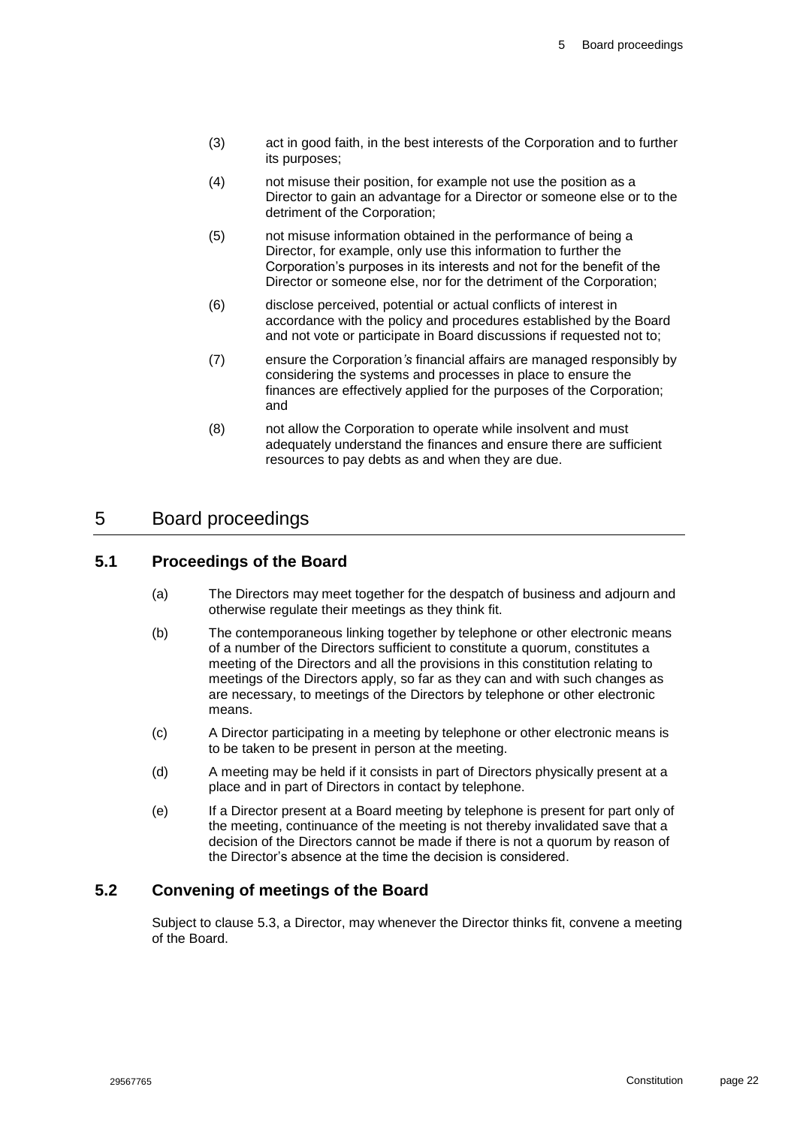- (3) act in good faith, in the best interests of the Corporation and to further its purposes;
- (4) not misuse their position, for example not use the position as a Director to gain an advantage for a Director or someone else or to the detriment of the Corporation;
- (5) not misuse information obtained in the performance of being a Director, for example, only use this information to further the Corporation's purposes in its interests and not for the benefit of the Director or someone else, nor for the detriment of the Corporation;
- (6) disclose perceived, potential or actual conflicts of interest in accordance with the policy and procedures established by the Board and not vote or participate in Board discussions if requested not to;
- (7) ensure the Corporation*'s* financial affairs are managed responsibly by considering the systems and processes in place to ensure the finances are effectively applied for the purposes of the Corporation; and
- (8) not allow the Corporation to operate while insolvent and must adequately understand the finances and ensure there are sufficient resources to pay debts as and when they are due.

# <span id="page-22-0"></span>5 Board proceedings

## <span id="page-22-1"></span>**5.1 Proceedings of the Board**

- (a) The Directors may meet together for the despatch of business and adjourn and otherwise regulate their meetings as they think fit.
- (b) The contemporaneous linking together by telephone or other electronic means of a number of the Directors sufficient to constitute a quorum, constitutes a meeting of the Directors and all the provisions in this constitution relating to meetings of the Directors apply, so far as they can and with such changes as are necessary, to meetings of the Directors by telephone or other electronic means.
- (c) A Director participating in a meeting by telephone or other electronic means is to be taken to be present in person at the meeting.
- (d) A meeting may be held if it consists in part of Directors physically present at a place and in part of Directors in contact by telephone.
- (e) If a Director present at a Board meeting by telephone is present for part only of the meeting, continuance of the meeting is not thereby invalidated save that a decision of the Directors cannot be made if there is not a quorum by reason of the Director's absence at the time the decision is considered.

### <span id="page-22-2"></span>**5.2 Convening of meetings of the Board**

Subject to clause [5.3,](#page-23-0) a Director, may whenever the Director thinks fit, convene a meeting of the Board.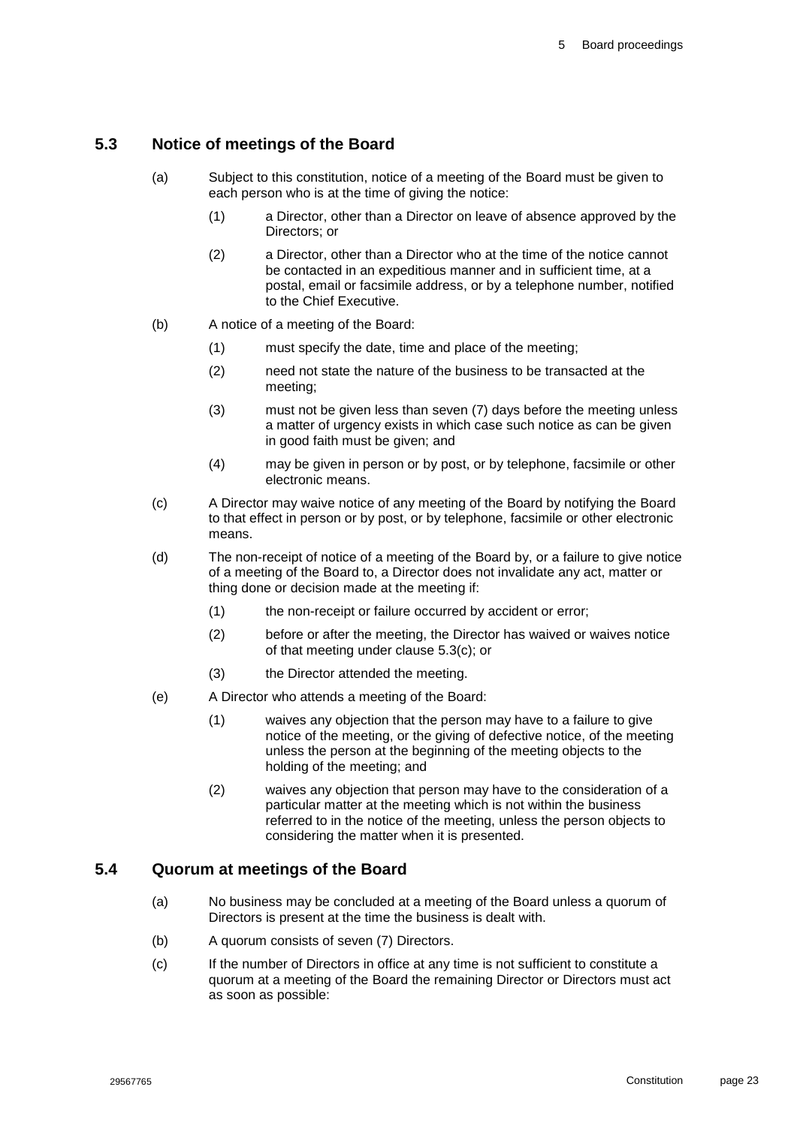### <span id="page-23-0"></span>**5.3 Notice of meetings of the Board**

- (a) Subject to this constitution, notice of a meeting of the Board must be given to each person who is at the time of giving the notice:
	- (1) a Director, other than a Director on leave of absence approved by the Directors; or
	- (2) a Director, other than a Director who at the time of the notice cannot be contacted in an expeditious manner and in sufficient time, at a postal, email or facsimile address, or by a telephone number, notified to the Chief Executive.
- (b) A notice of a meeting of the Board:
	- (1) must specify the date, time and place of the meeting;
	- (2) need not state the nature of the business to be transacted at the meeting;
	- (3) must not be given less than seven (7) days before the meeting unless a matter of urgency exists in which case such notice as can be given in good faith must be given; and
	- (4) may be given in person or by post, or by telephone, facsimile or other electronic means.
- <span id="page-23-3"></span>(c) A Director may waive notice of any meeting of the Board by notifying the Board to that effect in person or by post, or by telephone, facsimile or other electronic means.
- (d) The non-receipt of notice of a meeting of the Board by, or a failure to give notice of a meeting of the Board to, a Director does not invalidate any act, matter or thing done or decision made at the meeting if:
	- (1) the non-receipt or failure occurred by accident or error;
	- (2) before or after the meeting, the Director has waived or waives notice of that meeting under clause [5.3\(c\);](#page-23-3) or
	- (3) the Director attended the meeting.
- (e) A Director who attends a meeting of the Board:
	- (1) waives any objection that the person may have to a failure to give notice of the meeting, or the giving of defective notice, of the meeting unless the person at the beginning of the meeting objects to the holding of the meeting; and
	- (2) waives any objection that person may have to the consideration of a particular matter at the meeting which is not within the business referred to in the notice of the meeting, unless the person objects to considering the matter when it is presented.

#### <span id="page-23-1"></span>**5.4 Quorum at meetings of the Board**

- (a) No business may be concluded at a meeting of the Board unless a quorum of Directors is present at the time the business is dealt with.
- <span id="page-23-2"></span>(b) A quorum consists of seven (7) Directors.
- <span id="page-23-4"></span>(c) If the number of Directors in office at any time is not sufficient to constitute a quorum at a meeting of the Board the remaining Director or Directors must act as soon as possible: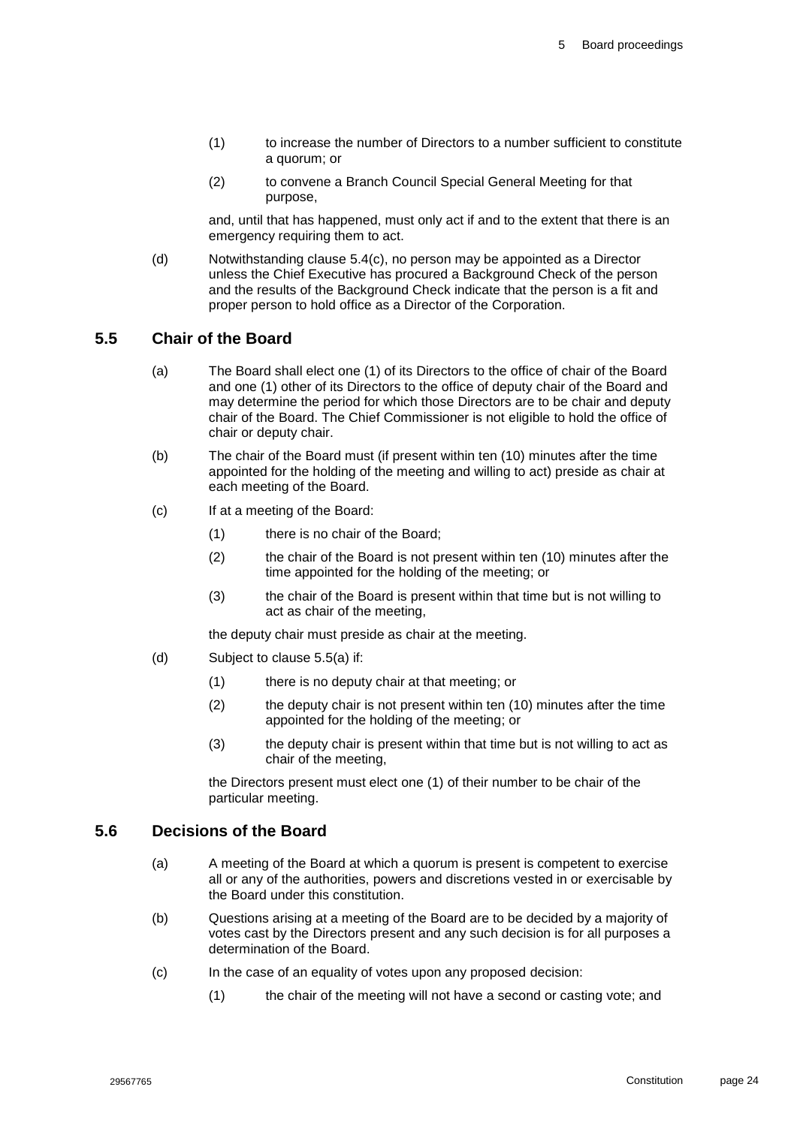- (1) to increase the number of Directors to a number sufficient to constitute a quorum; or
- (2) to convene a Branch Council Special General Meeting for that purpose,

and, until that has happened, must only act if and to the extent that there is an emergency requiring them to act.

(d) Notwithstanding clause [5.4\(c\),](#page-23-4) no person may be appointed as a Director unless the Chief Executive has procured a Background Check of the person and the results of the Background Check indicate that the person is a fit and proper person to hold office as a Director of the Corporation.

#### <span id="page-24-0"></span>**5.5 Chair of the Board**

- (a) The Board shall elect one (1) of its Directors to the office of chair of the Board and one (1) other of its Directors to the office of deputy chair of the Board and may determine the period for which those Directors are to be chair and deputy chair of the Board. The Chief Commissioner is not eligible to hold the office of chair or deputy chair.
- <span id="page-24-2"></span>(b) The chair of the Board must (if present within ten (10) minutes after the time appointed for the holding of the meeting and willing to act) preside as chair at each meeting of the Board.
- (c) If at a meeting of the Board:
	- (1) there is no chair of the Board;
	- (2) the chair of the Board is not present within ten (10) minutes after the time appointed for the holding of the meeting; or
	- (3) the chair of the Board is present within that time but is not willing to act as chair of the meeting,

the deputy chair must preside as chair at the meeting.

- (d) Subject to clause [5.5\(a\)](#page-24-2) if:
	- (1) there is no deputy chair at that meeting; or
	- (2) the deputy chair is not present within ten (10) minutes after the time appointed for the holding of the meeting; or
	- (3) the deputy chair is present within that time but is not willing to act as chair of the meeting,

the Directors present must elect one (1) of their number to be chair of the particular meeting.

#### <span id="page-24-1"></span>**5.6 Decisions of the Board**

- (a) A meeting of the Board at which a quorum is present is competent to exercise all or any of the authorities, powers and discretions vested in or exercisable by the Board under this constitution.
- (b) Questions arising at a meeting of the Board are to be decided by a majority of votes cast by the Directors present and any such decision is for all purposes a determination of the Board.
- (c) In the case of an equality of votes upon any proposed decision:
	- (1) the chair of the meeting will not have a second or casting vote; and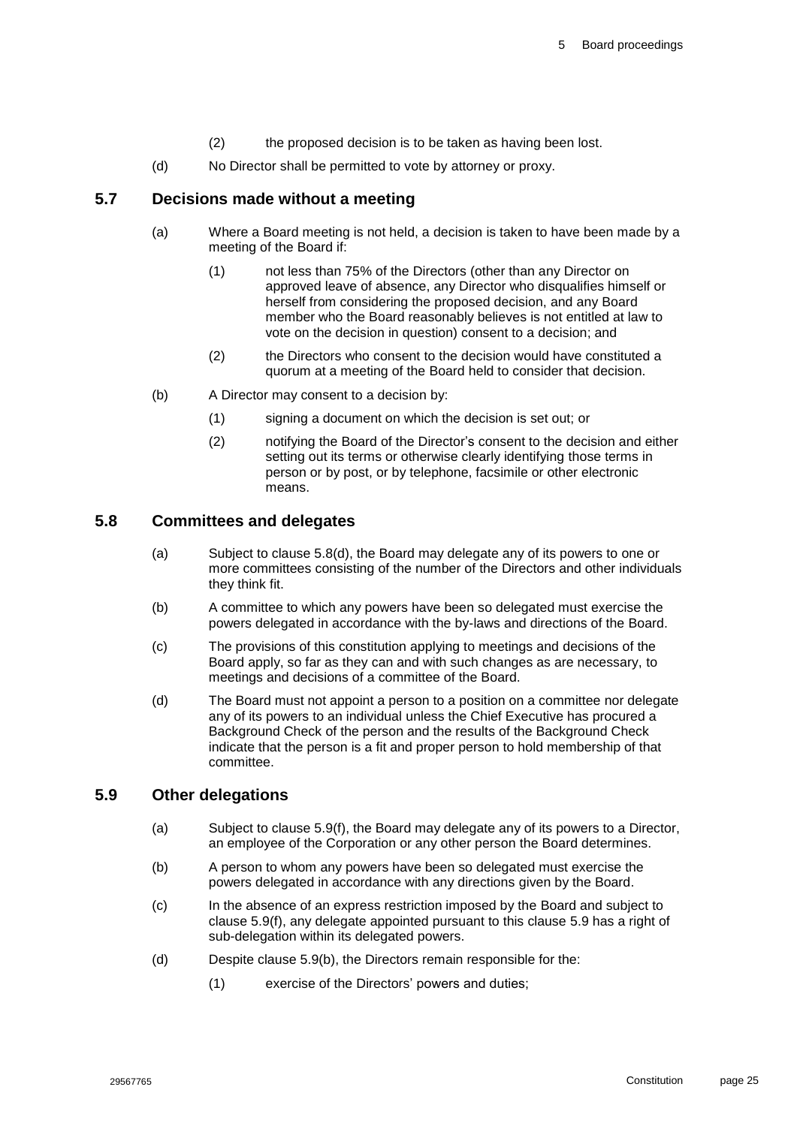- (2) the proposed decision is to be taken as having been lost.
- (d) No Director shall be permitted to vote by attorney or proxy.

#### <span id="page-25-0"></span>**5.7 Decisions made without a meeting**

- (a) Where a Board meeting is not held, a decision is taken to have been made by a meeting of the Board if:
	- (1) not less than 75% of the Directors (other than any Director on approved leave of absence, any Director who disqualifies himself or herself from considering the proposed decision, and any Board member who the Board reasonably believes is not entitled at law to vote on the decision in question) consent to a decision; and
	- (2) the Directors who consent to the decision would have constituted a quorum at a meeting of the Board held to consider that decision.
- (b) A Director may consent to a decision by:
	- (1) signing a document on which the decision is set out; or
	- (2) notifying the Board of the Director's consent to the decision and either setting out its terms or otherwise clearly identifying those terms in person or by post, or by telephone, facsimile or other electronic means.

### <span id="page-25-1"></span>**5.8 Committees and delegates**

- (a) Subject to clause [5.8\(d\),](#page-25-3) the Board may delegate any of its powers to one or more committees consisting of the number of the Directors and other individuals they think fit.
- <span id="page-25-6"></span>(b) A committee to which any powers have been so delegated must exercise the powers delegated in accordance with the by-laws and directions of the Board.
- (c) The provisions of this constitution applying to meetings and decisions of the Board apply, so far as they can and with such changes as are necessary, to meetings and decisions of a committee of the Board.
- <span id="page-25-3"></span>(d) The Board must not appoint a person to a position on a committee nor delegate any of its powers to an individual unless the Chief Executive has procured a Background Check of the person and the results of the Background Check indicate that the person is a fit and proper person to hold membership of that committee.

#### <span id="page-25-5"></span><span id="page-25-2"></span>**5.9 Other delegations**

- (a) Subject to clause [5.9\(f\),](#page-26-4) the Board may delegate any of its powers to a Director, an employee of the Corporation or any other person the Board determines.
- <span id="page-25-4"></span>(b) A person to whom any powers have been so delegated must exercise the powers delegated in accordance with any directions given by the Board.
- (c) In the absence of an express restriction imposed by the Board and subject to clause [5.9\(f\),](#page-26-4) any delegate appointed pursuant to this clause [5.9](#page-25-2) has a right of sub-delegation within its delegated powers.
- (d) Despite clause [5.9\(b\),](#page-25-4) the Directors remain responsible for the:
	- (1) exercise of the Directors' powers and duties;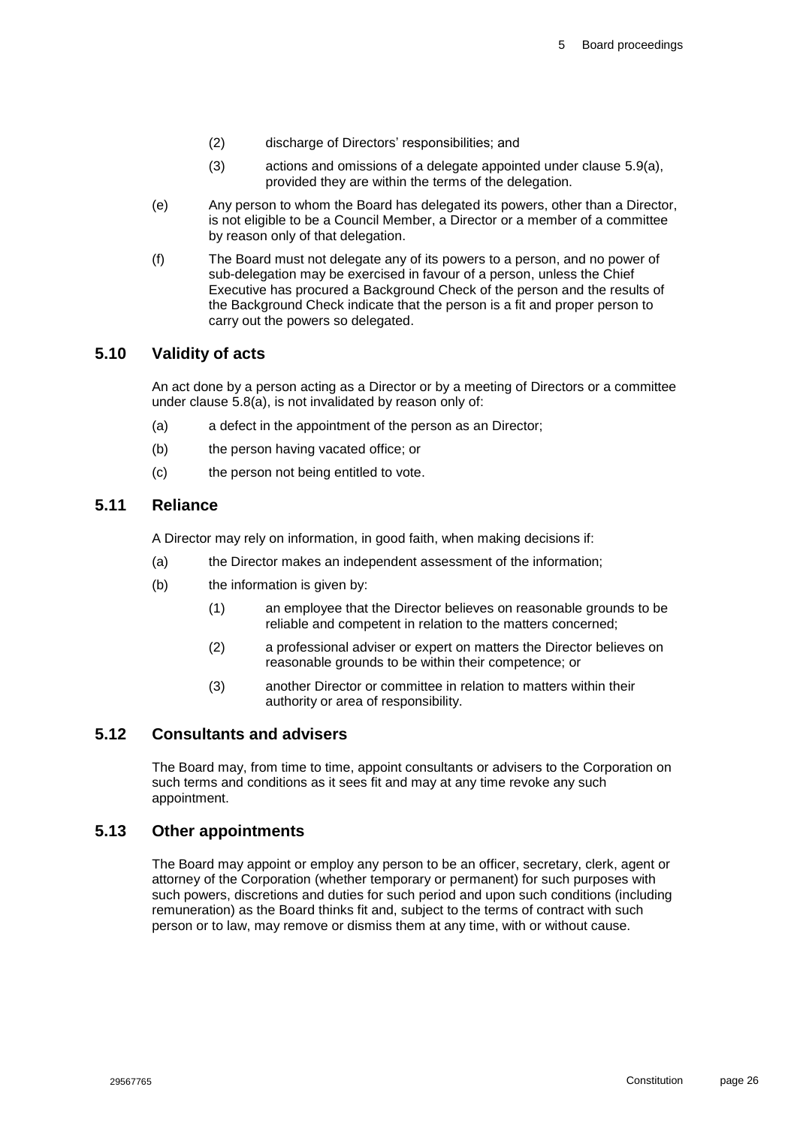- (2) discharge of Directors' responsibilities; and
- (3) actions and omissions of a delegate appointed under clause [5.9\(a\),](#page-25-5) provided they are within the terms of the delegation.
- (e) Any person to whom the Board has delegated its powers, other than a Director, is not eligible to be a Council Member, a Director or a member of a committee by reason only of that delegation.
- <span id="page-26-4"></span>(f) The Board must not delegate any of its powers to a person, and no power of sub-delegation may be exercised in favour of a person, unless the Chief Executive has procured a Background Check of the person and the results of the Background Check indicate that the person is a fit and proper person to carry out the powers so delegated.

### <span id="page-26-0"></span>**5.10 Validity of acts**

An act done by a person acting as a Director or by a meeting of Directors or a committee under clause [5.8\(a\),](#page-25-6) is not invalidated by reason only of:

- (a) a defect in the appointment of the person as an Director;
- (b) the person having vacated office; or
- (c) the person not being entitled to vote.

### <span id="page-26-1"></span>**5.11 Reliance**

A Director may rely on information, in good faith, when making decisions if:

- (a) the Director makes an independent assessment of the information;
- (b) the information is given by:
	- (1) an employee that the Director believes on reasonable grounds to be reliable and competent in relation to the matters concerned;
	- (2) a professional adviser or expert on matters the Director believes on reasonable grounds to be within their competence; or
	- (3) another Director or committee in relation to matters within their authority or area of responsibility.

### <span id="page-26-2"></span>**5.12 Consultants and advisers**

The Board may, from time to time, appoint consultants or advisers to the Corporation on such terms and conditions as it sees fit and may at any time revoke any such appointment.

#### <span id="page-26-3"></span>**5.13 Other appointments**

The Board may appoint or employ any person to be an officer, secretary, clerk, agent or attorney of the Corporation (whether temporary or permanent) for such purposes with such powers, discretions and duties for such period and upon such conditions (including remuneration) as the Board thinks fit and, subject to the terms of contract with such person or to law, may remove or dismiss them at any time, with or without cause.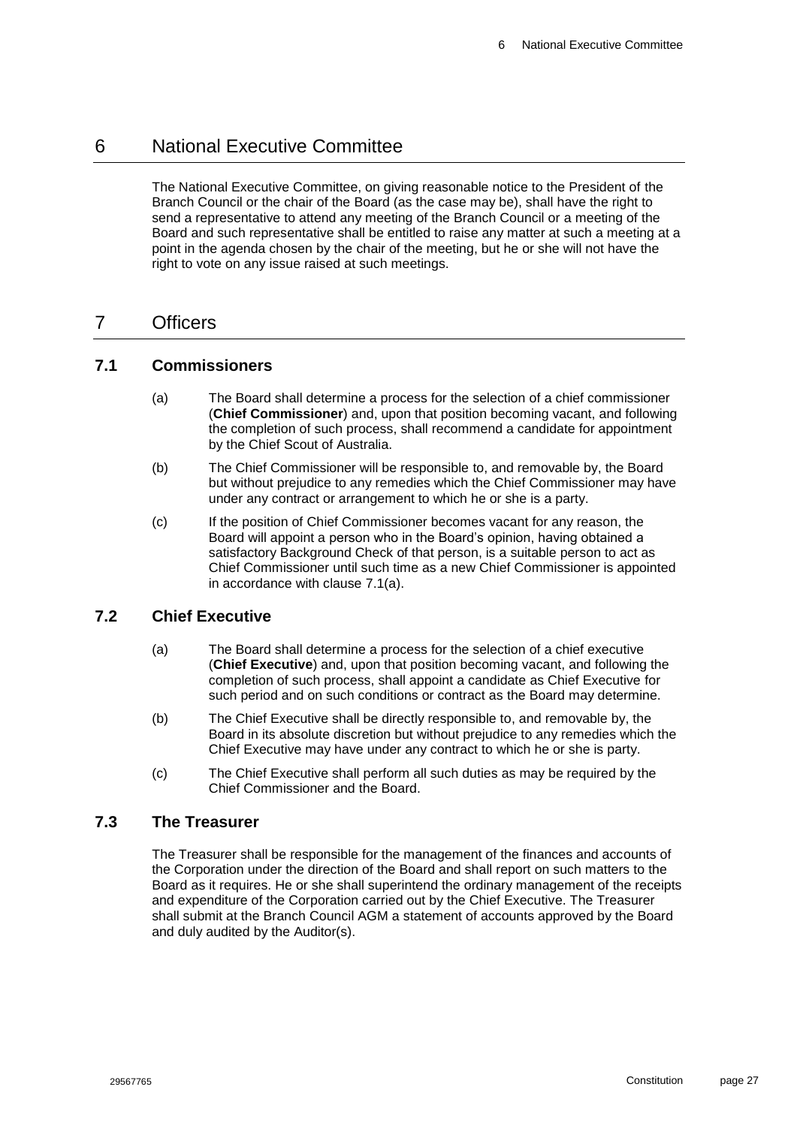# <span id="page-27-0"></span>6 National Executive Committee

The National Executive Committee, on giving reasonable notice to the President of the Branch Council or the chair of the Board (as the case may be), shall have the right to send a representative to attend any meeting of the Branch Council or a meeting of the Board and such representative shall be entitled to raise any matter at such a meeting at a point in the agenda chosen by the chair of the meeting, but he or she will not have the right to vote on any issue raised at such meetings.

# <span id="page-27-1"></span>7 Officers

#### <span id="page-27-5"></span><span id="page-27-2"></span>**7.1 Commissioners**

- (a) The Board shall determine a process for the selection of a chief commissioner (**Chief Commissioner**) and, upon that position becoming vacant, and following the completion of such process, shall recommend a candidate for appointment by the Chief Scout of Australia.
- (b) The Chief Commissioner will be responsible to, and removable by, the Board but without prejudice to any remedies which the Chief Commissioner may have under any contract or arrangement to which he or she is a party.
- (c) If the position of Chief Commissioner becomes vacant for any reason, the Board will appoint a person who in the Board's opinion, having obtained a satisfactory Background Check of that person, is a suitable person to act as Chief Commissioner until such time as a new Chief Commissioner is appointed in accordance with clause [7.1\(a\).](#page-27-5)

#### <span id="page-27-3"></span>**7.2 Chief Executive**

- (a) The Board shall determine a process for the selection of a chief executive (**Chief Executive**) and, upon that position becoming vacant, and following the completion of such process, shall appoint a candidate as Chief Executive for such period and on such conditions or contract as the Board may determine.
- (b) The Chief Executive shall be directly responsible to, and removable by, the Board in its absolute discretion but without prejudice to any remedies which the Chief Executive may have under any contract to which he or she is party.
- (c) The Chief Executive shall perform all such duties as may be required by the Chief Commissioner and the Board.

#### <span id="page-27-4"></span>**7.3 The Treasurer**

The Treasurer shall be responsible for the management of the finances and accounts of the Corporation under the direction of the Board and shall report on such matters to the Board as it requires. He or she shall superintend the ordinary management of the receipts and expenditure of the Corporation carried out by the Chief Executive. The Treasurer shall submit at the Branch Council AGM a statement of accounts approved by the Board and duly audited by the Auditor(s).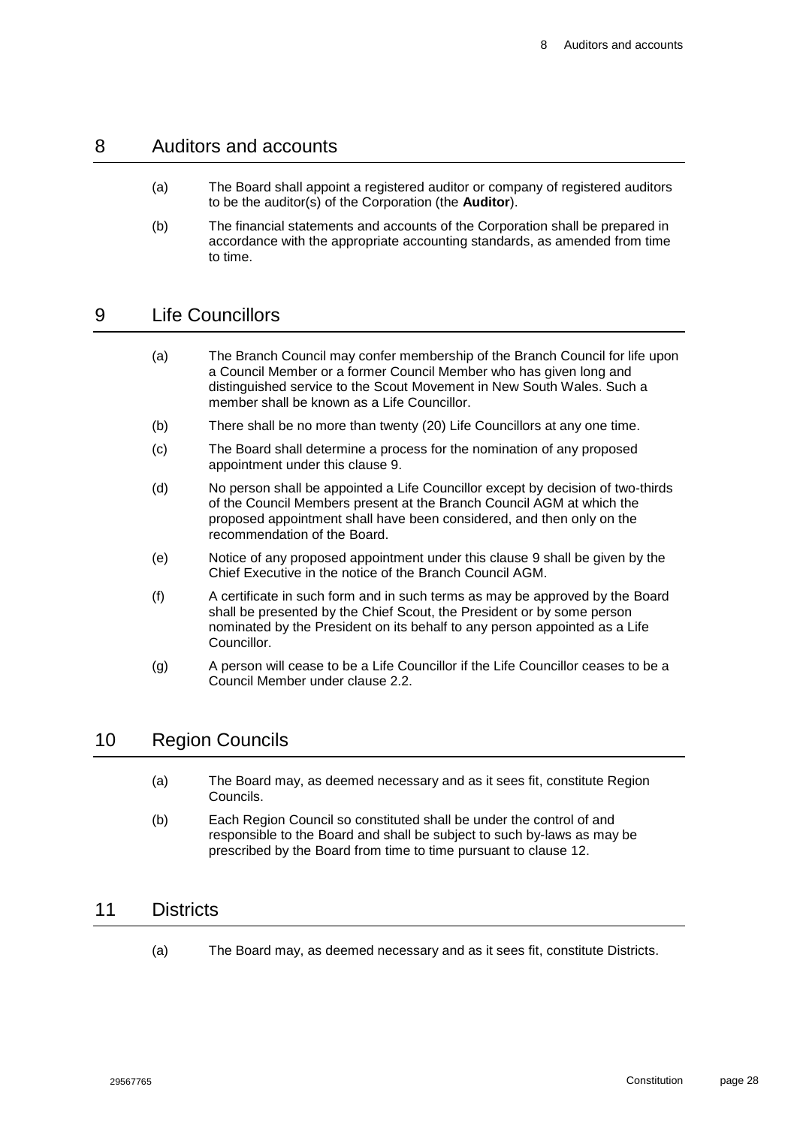### <span id="page-28-0"></span>8 Auditors and accounts

- (a) The Board shall appoint a registered auditor or company of registered auditors to be the auditor(s) of the Corporation (the **Auditor**).
- (b) The financial statements and accounts of the Corporation shall be prepared in accordance with the appropriate accounting standards, as amended from time to time.

# <span id="page-28-1"></span>9 Life Councillors

- (a) The Branch Council may confer membership of the Branch Council for life upon a Council Member or a former Council Member who has given long and distinguished service to the Scout Movement in New South Wales. Such a member shall be known as a Life Councillor.
- (b) There shall be no more than twenty (20) Life Councillors at any one time.
- (c) The Board shall determine a process for the nomination of any proposed appointment under this clause 9.
- (d) No person shall be appointed a Life Councillor except by decision of two-thirds of the Council Members present at the Branch Council AGM at which the proposed appointment shall have been considered, and then only on the recommendation of the Board.
- (e) Notice of any proposed appointment under this clause [9](#page-28-1) shall be given by the Chief Executive in the notice of the Branch Council AGM.
- (f) A certificate in such form and in such terms as may be approved by the Board shall be presented by the Chief Scout, the President or by some person nominated by the President on its behalf to any person appointed as a Life Councillor.
- (g) A person will cease to be a Life Councillor if the Life Councillor ceases to be a Council Member under clause [2.2.](#page-13-0)

### <span id="page-28-2"></span>10 Region Councils

- (a) The Board may, as deemed necessary and as it sees fit, constitute Region Councils.
- (b) Each Region Council so constituted shall be under the control of and responsible to the Board and shall be subject to such by-laws as may be prescribed by the Board from time to time pursuant to clause [12.](#page-29-0)

## <span id="page-28-3"></span>11 Districts

(a) The Board may, as deemed necessary and as it sees fit, constitute Districts.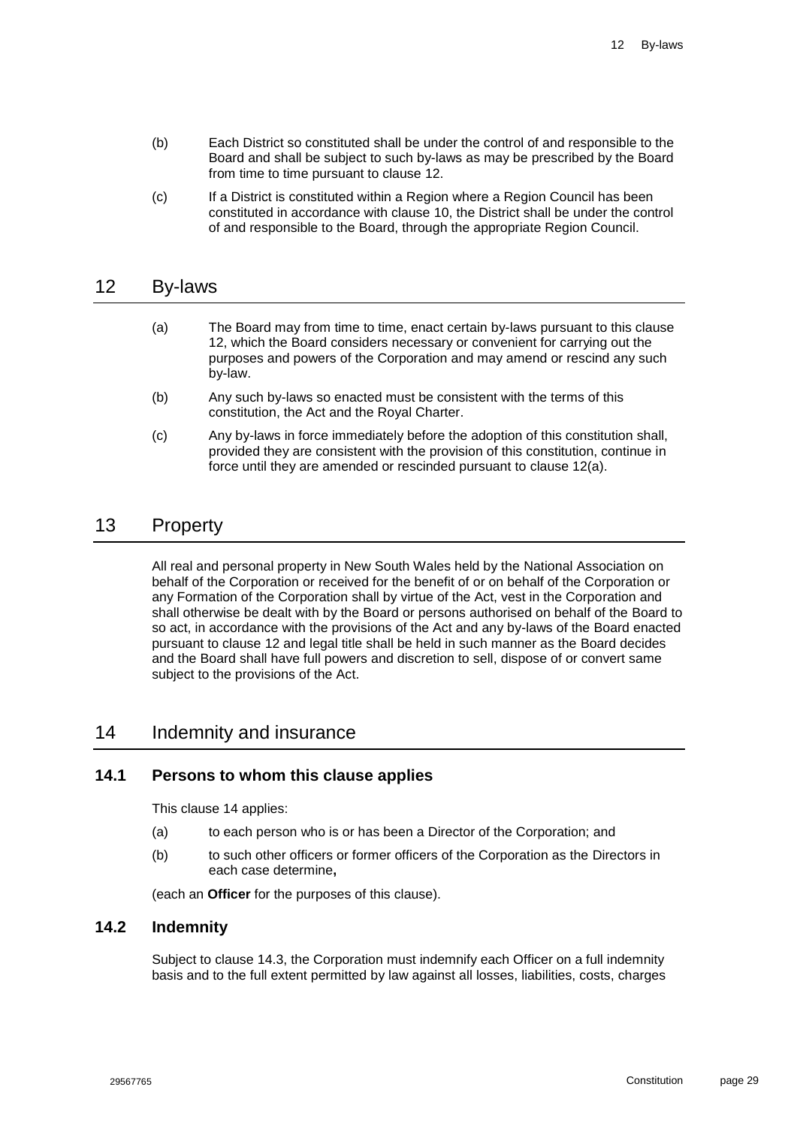- (b) Each District so constituted shall be under the control of and responsible to the Board and shall be subject to such by-laws as may be prescribed by the Board from time to time pursuant to clause [12.](#page-29-0)
- (c) If a District is constituted within a Region where a Region Council has been constituted in accordance with clause [10,](#page-28-2) the District shall be under the control of and responsible to the Board, through the appropriate Region Council.

### <span id="page-29-5"></span><span id="page-29-0"></span>12 By-laws

- (a) The Board may from time to time, enact certain by-laws pursuant to this clause [12,](#page-29-0) which the Board considers necessary or convenient for carrying out the purposes and powers of the Corporation and may amend or rescind any such by-law.
- (b) Any such by-laws so enacted must be consistent with the terms of this constitution, the Act and the Royal Charter.
- (c) Any by-laws in force immediately before the adoption of this constitution shall, provided they are consistent with the provision of this constitution, continue in force until they are amended or rescinded pursuant to clause [12\(a\).](#page-29-5)

# <span id="page-29-1"></span>13 Property

All real and personal property in New South Wales held by the National Association on behalf of the Corporation or received for the benefit of or on behalf of the Corporation or any Formation of the Corporation shall by virtue of the Act, vest in the Corporation and shall otherwise be dealt with by the Board or persons authorised on behalf of the Board to so act, in accordance with the provisions of the Act and any by-laws of the Board enacted pursuant to clause [12](#page-29-0) and legal title shall be held in such manner as the Board decides and the Board shall have full powers and discretion to sell, dispose of or convert same subject to the provisions of the Act.

### <span id="page-29-2"></span>14 Indemnity and insurance

#### <span id="page-29-3"></span>**14.1 Persons to whom this clause applies**

This clause [14](#page-29-2) applies:

- (a) to each person who is or has been a Director of the Corporation; and
- (b) to such other officers or former officers of the Corporation as the Directors in each case determine**,**

(each an **Officer** for the purposes of this clause).

### <span id="page-29-4"></span>**14.2 Indemnity**

Subject to clause [14.3,](#page-30-0) the Corporation must indemnify each Officer on a full indemnity basis and to the full extent permitted by law against all losses, liabilities, costs, charges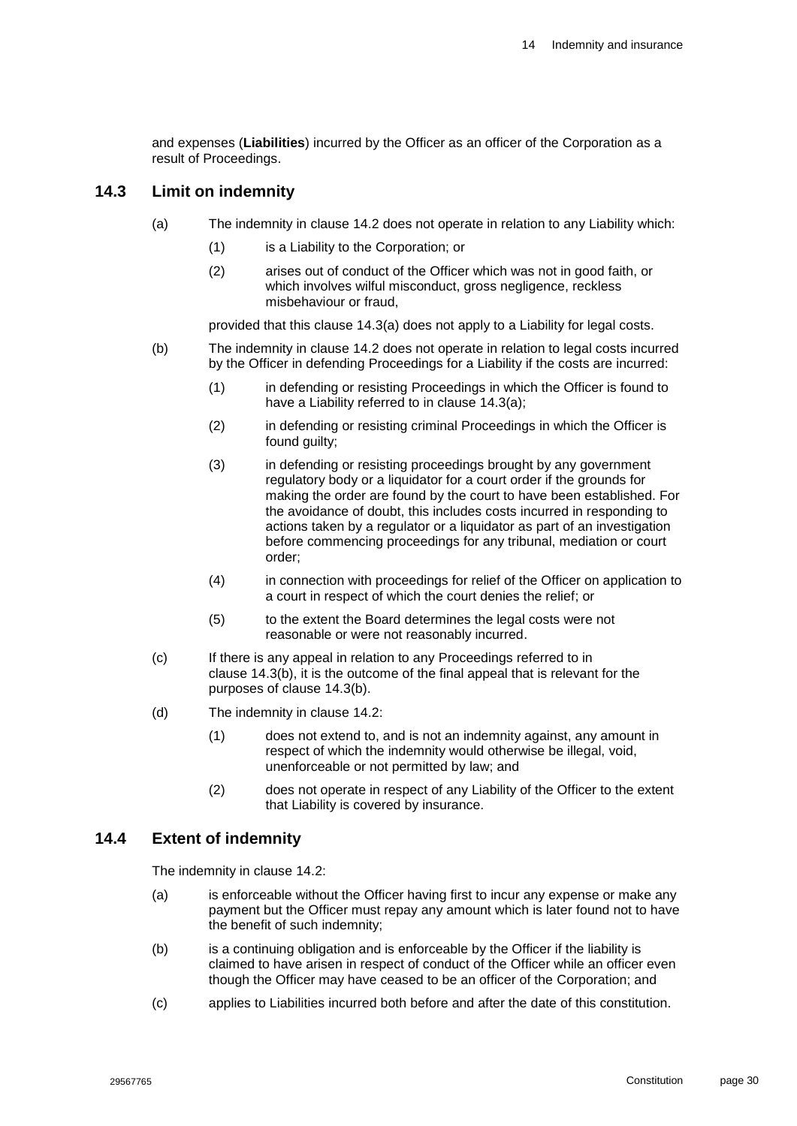and expenses (**Liabilities**) incurred by the Officer as an officer of the Corporation as a result of Proceedings.

#### <span id="page-30-2"></span><span id="page-30-0"></span>**14.3 Limit on indemnity**

- (a) The indemnity in clause [14.2](#page-29-4) does not operate in relation to any Liability which:
	- (1) is a Liability to the Corporation; or
	- (2) arises out of conduct of the Officer which was not in good faith, or which involves wilful misconduct, gross negligence, reckless misbehaviour or fraud,

provided that this clause [14.3\(a\)](#page-30-2) does not apply to a Liability for legal costs.

- <span id="page-30-3"></span>(b) The indemnity in clause [14.2](#page-29-4) does not operate in relation to legal costs incurred by the Officer in defending Proceedings for a Liability if the costs are incurred:
	- (1) in defending or resisting Proceedings in which the Officer is found to have a Liability referred to in clause [14.3\(a\);](#page-30-2)
	- (2) in defending or resisting criminal Proceedings in which the Officer is found guilty;
	- (3) in defending or resisting proceedings brought by any government regulatory body or a liquidator for a court order if the grounds for making the order are found by the court to have been established. For the avoidance of doubt, this includes costs incurred in responding to actions taken by a regulator or a liquidator as part of an investigation before commencing proceedings for any tribunal, mediation or court order;
	- (4) in connection with proceedings for relief of the Officer on application to a court in respect of which the court denies the relief; or
	- (5) to the extent the Board determines the legal costs were not reasonable or were not reasonably incurred.
- (c) If there is any appeal in relation to any Proceedings referred to in clause [14.3\(b\),](#page-30-3) it is the outcome of the final appeal that is relevant for the purposes of clause [14.3\(b\).](#page-30-3)
- (d) The indemnity in clause [14.2:](#page-29-4)
	- (1) does not extend to, and is not an indemnity against, any amount in respect of which the indemnity would otherwise be illegal, void, unenforceable or not permitted by law; and
	- (2) does not operate in respect of any Liability of the Officer to the extent that Liability is covered by insurance.

#### <span id="page-30-1"></span>**14.4 Extent of indemnity**

The indemnity in clause [14.2:](#page-29-4)

- (a) is enforceable without the Officer having first to incur any expense or make any payment but the Officer must repay any amount which is later found not to have the benefit of such indemnity;
- (b) is a continuing obligation and is enforceable by the Officer if the liability is claimed to have arisen in respect of conduct of the Officer while an officer even though the Officer may have ceased to be an officer of the Corporation; and
- (c) applies to Liabilities incurred both before and after the date of this constitution.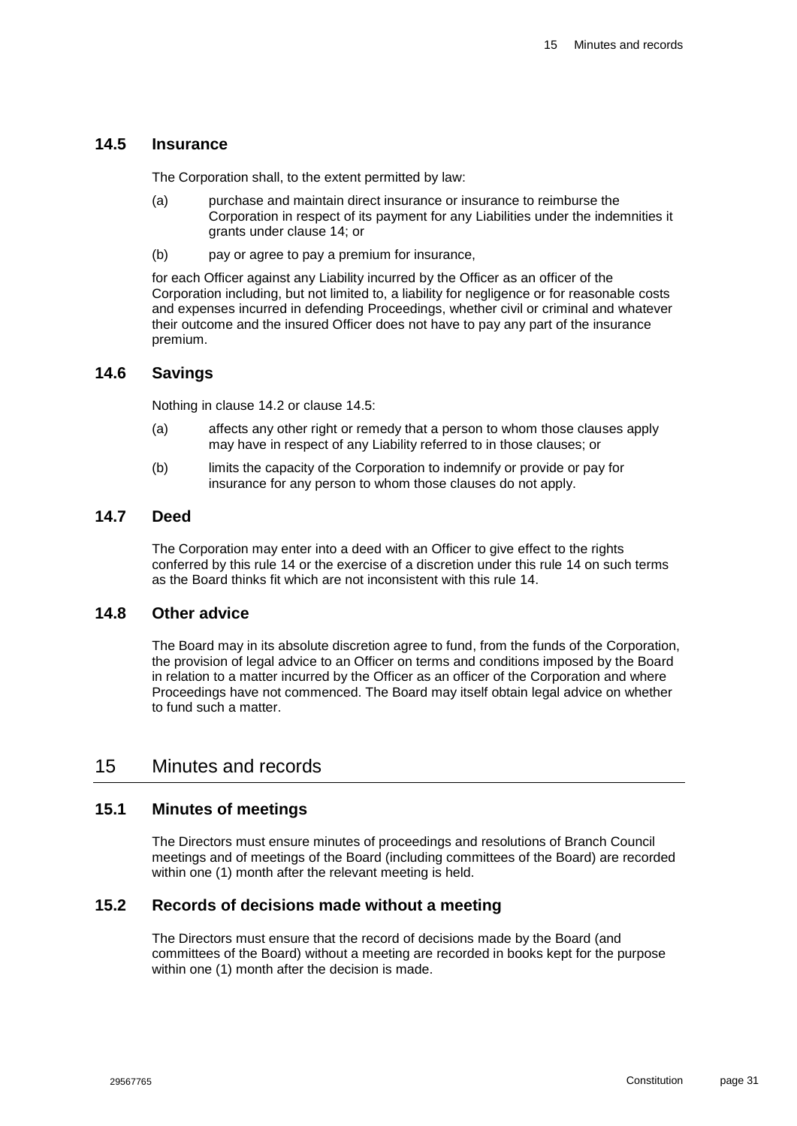### <span id="page-31-0"></span>**14.5 Insurance**

The Corporation shall, to the extent permitted by law:

- (a) purchase and maintain direct insurance or insurance to reimburse the Corporation in respect of its payment for any Liabilities under the indemnities it grants under clause [14;](#page-29-2) or
- (b) pay or agree to pay a premium for insurance,

for each Officer against any Liability incurred by the Officer as an officer of the Corporation including, but not limited to, a liability for negligence or for reasonable costs and expenses incurred in defending Proceedings, whether civil or criminal and whatever their outcome and the insured Officer does not have to pay any part of the insurance premium.

#### <span id="page-31-1"></span>**14.6 Savings**

Nothing in clause [14.2](#page-29-4) or clause [14.5:](#page-31-0)

- (a) affects any other right or remedy that a person to whom those clauses apply may have in respect of any Liability referred to in those clauses; or
- (b) limits the capacity of the Corporation to indemnify or provide or pay for insurance for any person to whom those clauses do not apply.

#### <span id="page-31-2"></span>**14.7 Deed**

The Corporation may enter into a deed with an Officer to give effect to the rights conferred by this rule [14](#page-29-2) or the exercise of a discretion under this rule [14](#page-29-2) on such terms as the Board thinks fit which are not inconsistent with this rule [14.](#page-29-2)

#### <span id="page-31-3"></span>**14.8 Other advice**

The Board may in its absolute discretion agree to fund, from the funds of the Corporation, the provision of legal advice to an Officer on terms and conditions imposed by the Board in relation to a matter incurred by the Officer as an officer of the Corporation and where Proceedings have not commenced. The Board may itself obtain legal advice on whether to fund such a matter.

### <span id="page-31-4"></span>15 Minutes and records

#### <span id="page-31-5"></span>**15.1 Minutes of meetings**

The Directors must ensure minutes of proceedings and resolutions of Branch Council meetings and of meetings of the Board (including committees of the Board) are recorded within one (1) month after the relevant meeting is held.

### <span id="page-31-6"></span>**15.2 Records of decisions made without a meeting**

The Directors must ensure that the record of decisions made by the Board (and committees of the Board) without a meeting are recorded in books kept for the purpose within one (1) month after the decision is made.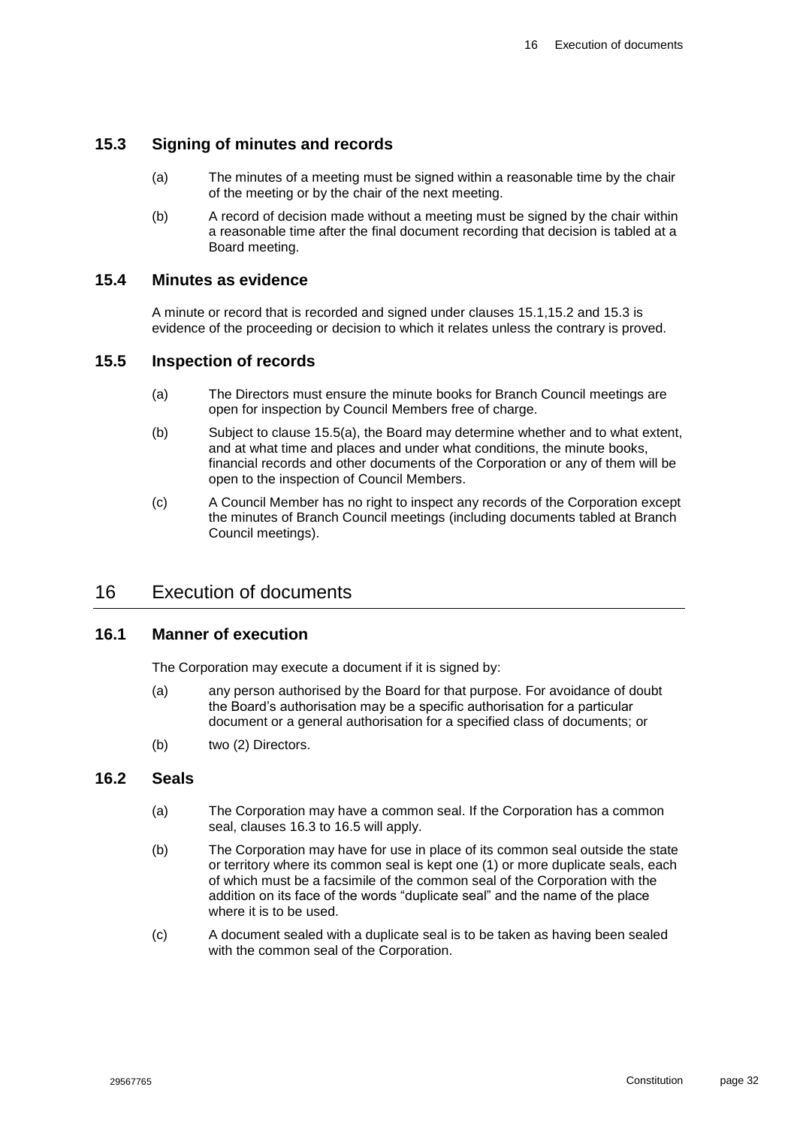### <span id="page-32-0"></span>**15.3 Signing of minutes and records**

- (a) The minutes of a meeting must be signed within a reasonable time by the chair of the meeting or by the chair of the next meeting.
- (b) A record of decision made without a meeting must be signed by the chair within a reasonable time after the final document recording that decision is tabled at a Board meeting.

#### <span id="page-32-1"></span>**15.4 Minutes as evidence**

A minute or record that is recorded and signed under clauses [15.1,](#page-31-5)[15.2](#page-31-6) and [15.3](#page-32-0) is evidence of the proceeding or decision to which it relates unless the contrary is proved.

#### <span id="page-32-6"></span><span id="page-32-2"></span>**15.5 Inspection of records**

- (a) The Directors must ensure the minute books for Branch Council meetings are open for inspection by Council Members free of charge.
- (b) Subject to clause [15.5\(a\),](#page-32-6) the Board may determine whether and to what extent, and at what time and places and under what conditions, the minute books, financial records and other documents of the Corporation or any of them will be open to the inspection of Council Members.
- (c) A Council Member has no right to inspect any records of the Corporation except the minutes of Branch Council meetings (including documents tabled at Branch Council meetings).

### <span id="page-32-3"></span>16 Execution of documents

#### <span id="page-32-4"></span>**16.1 Manner of execution**

The Corporation may execute a document if it is signed by:

- (a) any person authorised by the Board for that purpose. For avoidance of doubt the Board's authorisation may be a specific authorisation for a particular document or a general authorisation for a specified class of documents; or
- (b) two (2) Directors.

#### <span id="page-32-5"></span>**16.2 Seals**

- (a) The Corporation may have a common seal. If the Corporation has a common seal, clauses [16.3](#page-33-0) to [16.5](#page-33-2) will apply.
- (b) The Corporation may have for use in place of its common seal outside the state or territory where its common seal is kept one (1) or more duplicate seals, each of which must be a facsimile of the common seal of the Corporation with the addition on its face of the words "duplicate seal" and the name of the place where it is to be used.
- (c) A document sealed with a duplicate seal is to be taken as having been sealed with the common seal of the Corporation.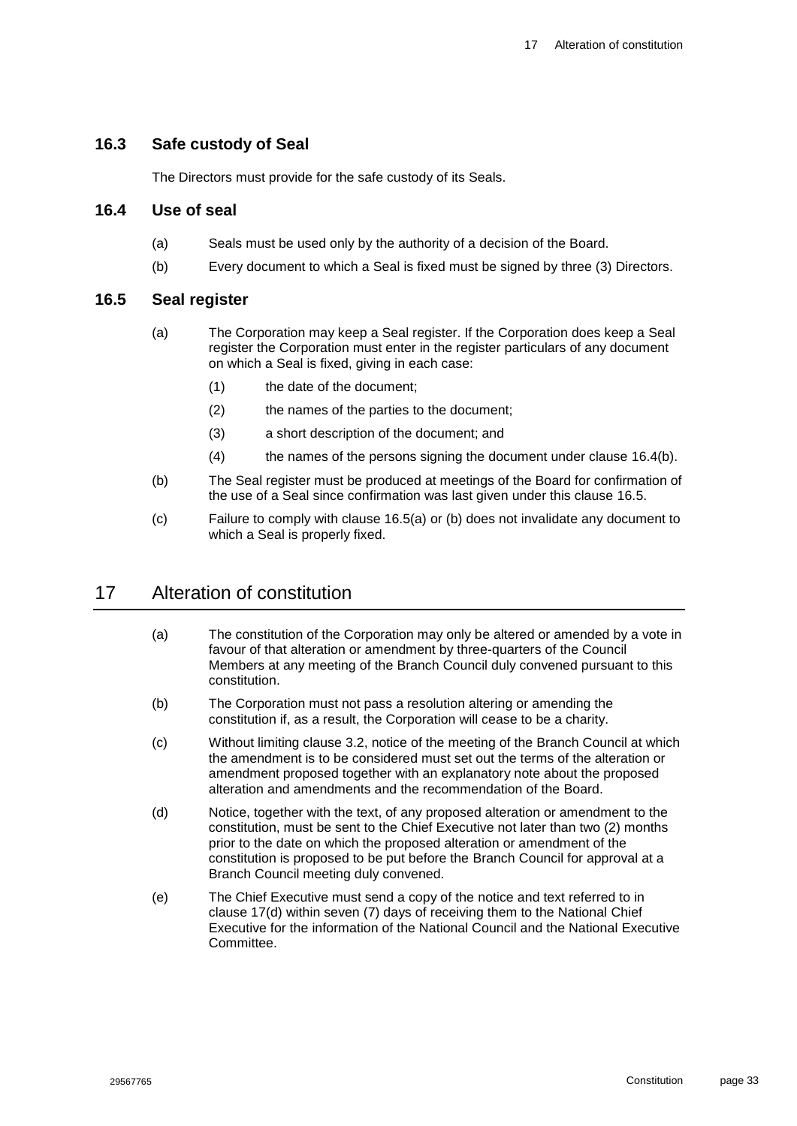#### <span id="page-33-0"></span>**16.3 Safe custody of Seal**

The Directors must provide for the safe custody of its Seals.

#### <span id="page-33-1"></span>**16.4 Use of seal**

- (a) Seals must be used only by the authority of a decision of the Board.
- (b) Every document to which a Seal is fixed must be signed by three (3) Directors.

#### <span id="page-33-5"></span><span id="page-33-4"></span><span id="page-33-2"></span>**16.5 Seal register**

- (a) The Corporation may keep a Seal register. If the Corporation does keep a Seal register the Corporation must enter in the register particulars of any document on which a Seal is fixed, giving in each case:
	- (1) the date of the document;
	- (2) the names of the parties to the document;
	- (3) a short description of the document; and
	- (4) the names of the persons signing the document under clause [16.4\(b\).](#page-33-4)
- <span id="page-33-6"></span>(b) The Seal register must be produced at meetings of the Board for confirmation of the use of a Seal since confirmation was last given under this clause [16.5.](#page-33-2)
- (c) Failure to comply with clause [16.5\(a\)](#page-33-5) or [\(b\)](#page-33-6) does not invalidate any document to which a Seal is properly fixed.

# <span id="page-33-3"></span>17 Alteration of constitution

- (a) The constitution of the Corporation may only be altered or amended by a vote in favour of that alteration or amendment by three-quarters of the Council Members at any meeting of the Branch Council duly convened pursuant to this constitution.
- (b) The Corporation must not pass a resolution altering or amending the constitution if, as a result, the Corporation will cease to be a charity.
- (c) Without limiting clause [3.2,](#page-14-3) notice of the meeting of the Branch Council at which the amendment is to be considered must set out the terms of the alteration or amendment proposed together with an explanatory note about the proposed alteration and amendments and the recommendation of the Board.
- <span id="page-33-7"></span>(d) Notice, together with the text, of any proposed alteration or amendment to the constitution, must be sent to the Chief Executive not later than two (2) months prior to the date on which the proposed alteration or amendment of the constitution is proposed to be put before the Branch Council for approval at a Branch Council meeting duly convened.
- (e) The Chief Executive must send a copy of the notice and text referred to in clause [17\(d\)](#page-33-7) within seven (7) days of receiving them to the National Chief Executive for the information of the National Council and the National Executive Committee.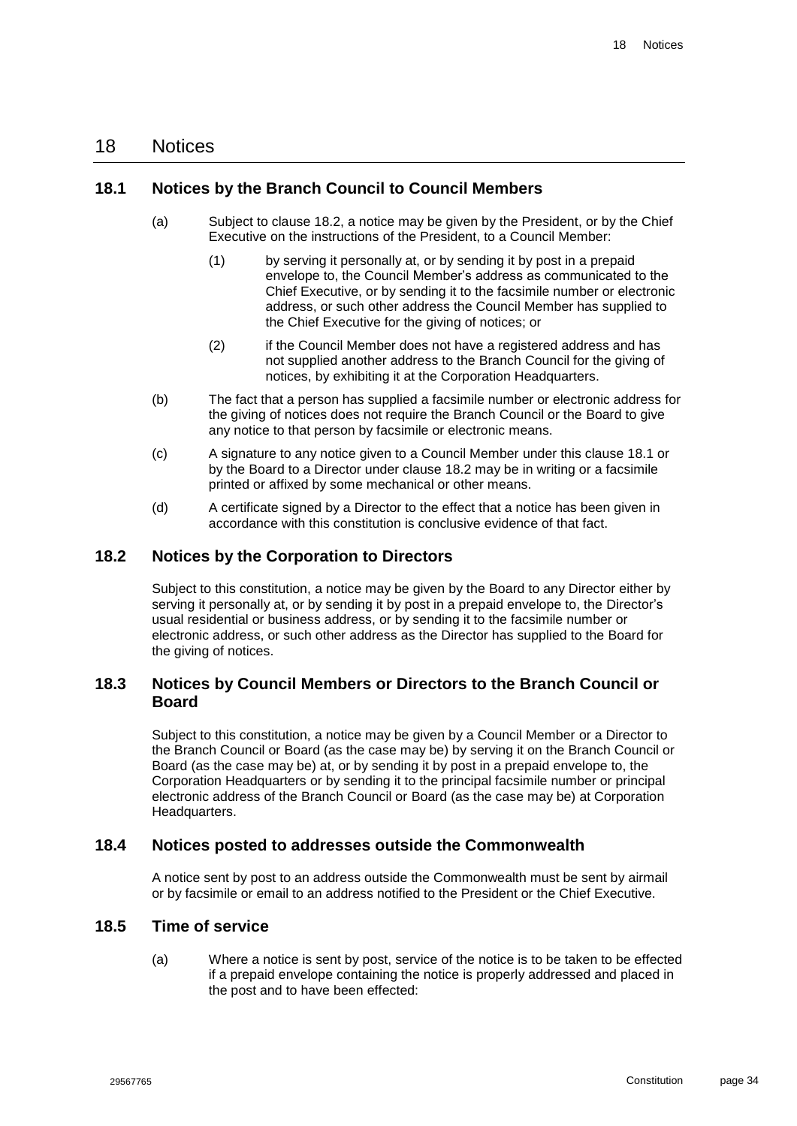### <span id="page-34-0"></span>18 Notices

#### <span id="page-34-1"></span>**18.1 Notices by the Branch Council to Council Members**

- (a) Subject to clause [18.2,](#page-34-2) a notice may be given by the President, or by the Chief Executive on the instructions of the President, to a Council Member:
	- (1) by serving it personally at, or by sending it by post in a prepaid envelope to, the Council Member's address as communicated to the Chief Executive, or by sending it to the facsimile number or electronic address, or such other address the Council Member has supplied to the Chief Executive for the giving of notices; or
	- (2) if the Council Member does not have a registered address and has not supplied another address to the Branch Council for the giving of notices, by exhibiting it at the Corporation Headquarters.
- <span id="page-34-6"></span>(b) The fact that a person has supplied a facsimile number or electronic address for the giving of notices does not require the Branch Council or the Board to give any notice to that person by facsimile or electronic means.
- (c) A signature to any notice given to a Council Member under this clause [18.1](#page-34-1) or by the Board to a Director under clause [18.2](#page-34-2) may be in writing or a facsimile printed or affixed by some mechanical or other means.
- (d) A certificate signed by a Director to the effect that a notice has been given in accordance with this constitution is conclusive evidence of that fact.

#### <span id="page-34-2"></span>**18.2 Notices by the Corporation to Directors**

Subject to this constitution, a notice may be given by the Board to any Director either by serving it personally at, or by sending it by post in a prepaid envelope to, the Director's usual residential or business address, or by sending it to the facsimile number or electronic address, or such other address as the Director has supplied to the Board for the giving of notices.

#### <span id="page-34-3"></span>**18.3 Notices by Council Members or Directors to the Branch Council or Board**

Subject to this constitution, a notice may be given by a Council Member or a Director to the Branch Council or Board (as the case may be) by serving it on the Branch Council or Board (as the case may be) at, or by sending it by post in a prepaid envelope to, the Corporation Headquarters or by sending it to the principal facsimile number or principal electronic address of the Branch Council or Board (as the case may be) at Corporation Headquarters.

#### <span id="page-34-4"></span>**18.4 Notices posted to addresses outside the Commonwealth**

A notice sent by post to an address outside the Commonwealth must be sent by airmail or by facsimile or email to an address notified to the President or the Chief Executive.

#### <span id="page-34-5"></span>**18.5 Time of service**

(a) Where a notice is sent by post, service of the notice is to be taken to be effected if a prepaid envelope containing the notice is properly addressed and placed in the post and to have been effected: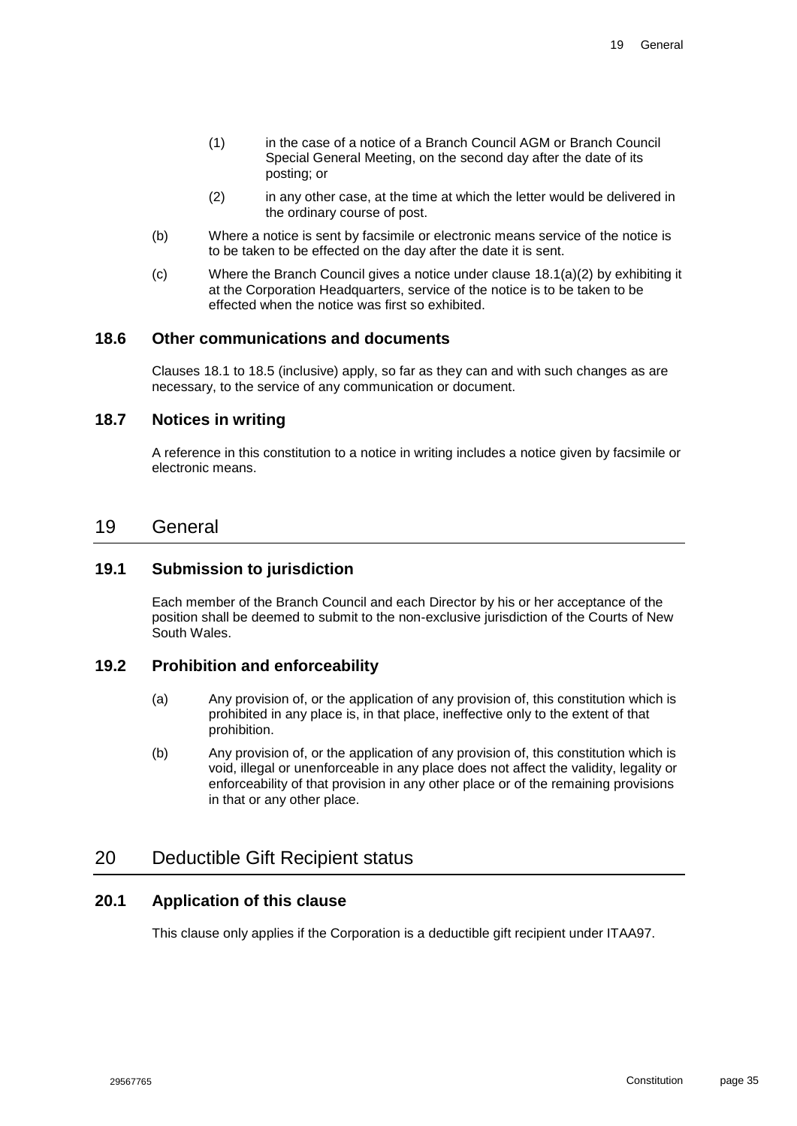- (1) in the case of a notice of a Branch Council AGM or Branch Council Special General Meeting, on the second day after the date of its posting; or
- (2) in any other case, at the time at which the letter would be delivered in the ordinary course of post.
- (b) Where a notice is sent by facsimile or electronic means service of the notice is to be taken to be effected on the day after the date it is sent.
- (c) Where the Branch Council gives a notice under clause [18.1\(a\)\(2\)](#page-34-6) by exhibiting it at the Corporation Headquarters, service of the notice is to be taken to be effected when the notice was first so exhibited.

#### <span id="page-35-0"></span>**18.6 Other communications and documents**

Clauses [18.1](#page-34-1) to [18.5](#page-34-5) (inclusive) apply, so far as they can and with such changes as are necessary, to the service of any communication or document.

### <span id="page-35-1"></span>**18.7 Notices in writing**

A reference in this constitution to a notice in writing includes a notice given by facsimile or electronic means.

#### <span id="page-35-2"></span>19 General

#### <span id="page-35-3"></span>**19.1 Submission to jurisdiction**

Each member of the Branch Council and each Director by his or her acceptance of the position shall be deemed to submit to the non-exclusive jurisdiction of the Courts of New South Wales.

#### <span id="page-35-4"></span>**19.2 Prohibition and enforceability**

- (a) Any provision of, or the application of any provision of, this constitution which is prohibited in any place is, in that place, ineffective only to the extent of that prohibition.
- (b) Any provision of, or the application of any provision of, this constitution which is void, illegal or unenforceable in any place does not affect the validity, legality or enforceability of that provision in any other place or of the remaining provisions in that or any other place.

## <span id="page-35-5"></span>20 Deductible Gift Recipient status

#### <span id="page-35-6"></span>**20.1 Application of this clause**

This clause only applies if the Corporation is a deductible gift recipient under ITAA97.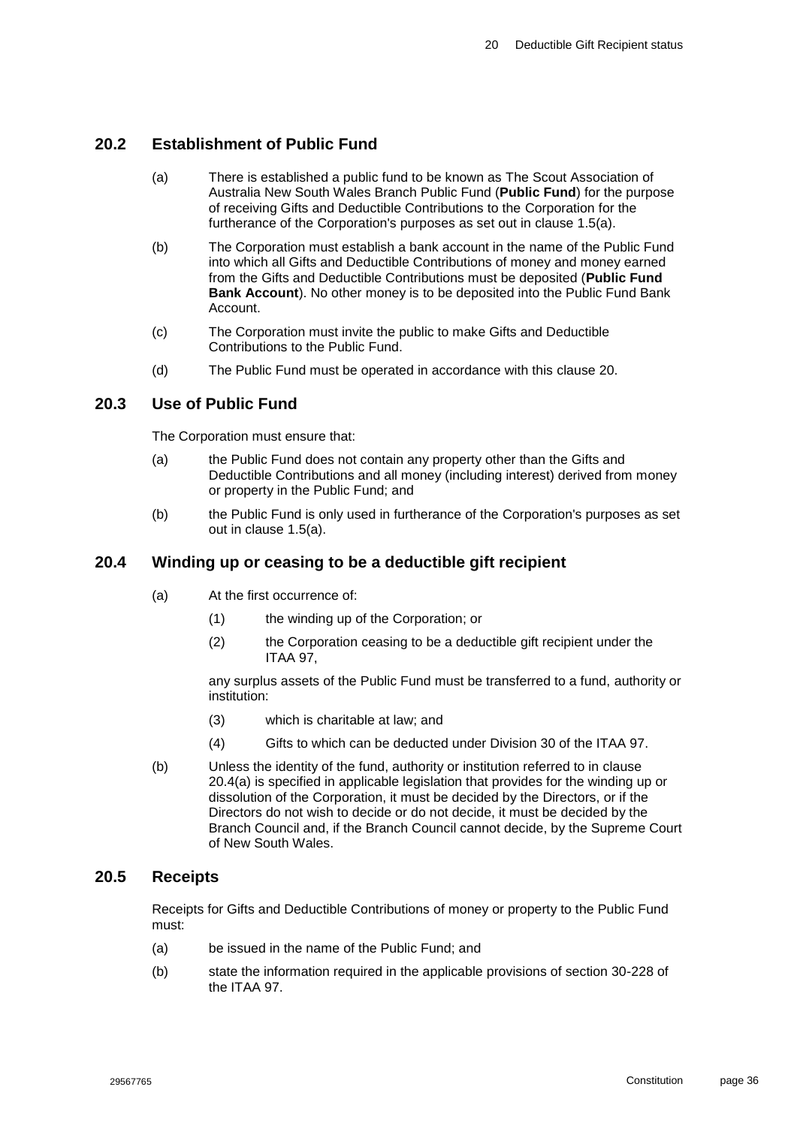### <span id="page-36-0"></span>**20.2 Establishment of Public Fund**

- (a) There is established a public fund to be known as The Scout Association of Australia New South Wales Branch Public Fund (**Public Fund**) for the purpose of receiving Gifts and Deductible Contributions to the Corporation for the furtherance of the Corporation's purposes as set out in clause [1.5\(a\).](#page-11-3)
- (b) The Corporation must establish a bank account in the name of the Public Fund into which all Gifts and Deductible Contributions of money and money earned from the Gifts and Deductible Contributions must be deposited (**Public Fund Bank Account**). No other money is to be deposited into the Public Fund Bank Account.
- (c) The Corporation must invite the public to make Gifts and Deductible Contributions to the Public Fund.
- (d) The Public Fund must be operated in accordance with this clause [20.](#page-35-5)

#### <span id="page-36-1"></span>**20.3 Use of Public Fund**

The Corporation must ensure that:

- (a) the Public Fund does not contain any property other than the Gifts and Deductible Contributions and all money (including interest) derived from money or property in the Public Fund; and
- (b) the Public Fund is only used in furtherance of the Corporation's purposes as set out in clause [1.5\(a\).](#page-11-3)

#### <span id="page-36-4"></span><span id="page-36-2"></span>**20.4 Winding up or ceasing to be a deductible gift recipient**

- (a) At the first occurrence of:
	- (1) the winding up of the Corporation; or
	- (2) the Corporation ceasing to be a deductible gift recipient under the ITAA 97,

any surplus assets of the Public Fund must be transferred to a fund, authority or institution:

- (3) which is charitable at law; and
- (4) Gifts to which can be deducted under Division 30 of the ITAA 97.
- (b) Unless the identity of the fund, authority or institution referred to in clause [20.4\(a\)](#page-36-4) is specified in applicable legislation that provides for the winding up or dissolution of the Corporation, it must be decided by the Directors, or if the Directors do not wish to decide or do not decide, it must be decided by the Branch Council and, if the Branch Council cannot decide, by the Supreme Court of New South Wales.

#### <span id="page-36-3"></span>**20.5 Receipts**

Receipts for Gifts and Deductible Contributions of money or property to the Public Fund must:

- (a) be issued in the name of the Public Fund; and
- (b) state the information required in the applicable provisions of section 30-228 of the ITAA 97.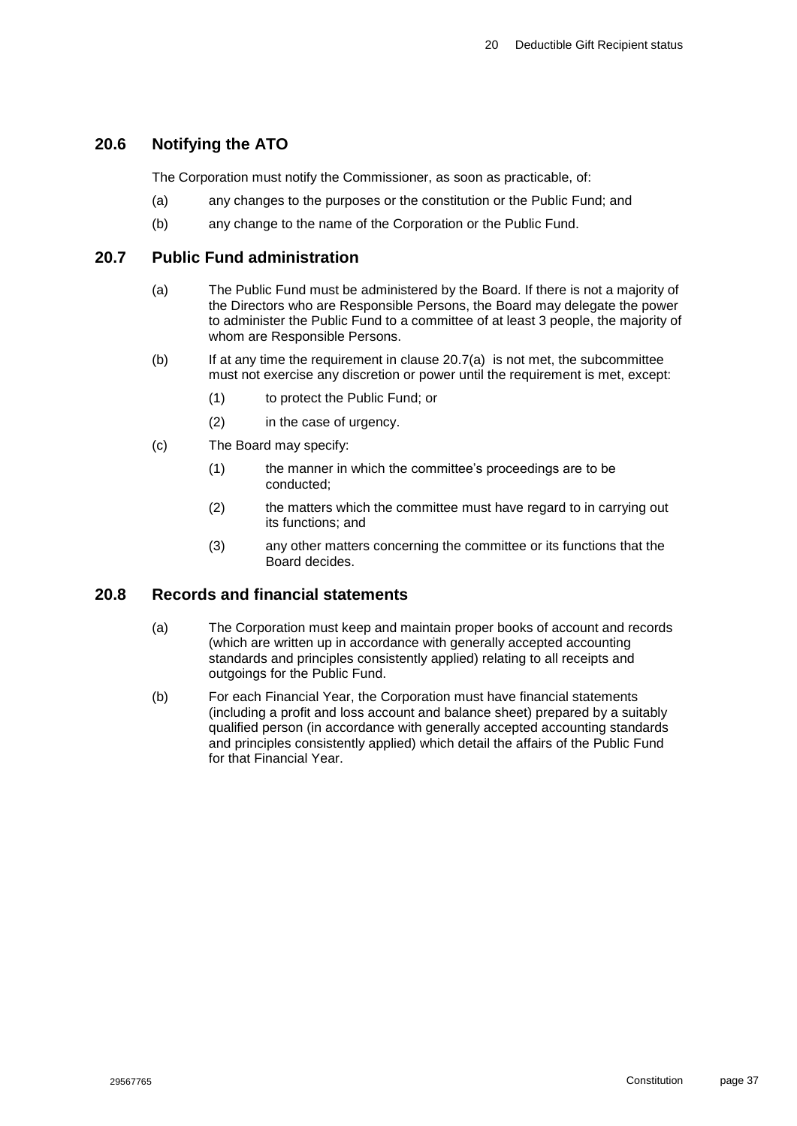### <span id="page-37-0"></span>**20.6 Notifying the ATO**

The Corporation must notify the Commissioner, as soon as practicable, of:

- (a) any changes to the purposes or the constitution or the Public Fund; and
- (b) any change to the name of the Corporation or the Public Fund.

#### <span id="page-37-3"></span><span id="page-37-1"></span>**20.7 Public Fund administration**

- (a) The Public Fund must be administered by the Board. If there is not a majority of the Directors who are Responsible Persons, the Board may delegate the power to administer the Public Fund to a committee of at least 3 people, the majority of whom are Responsible Persons.
- (b) If at any time the requirement in clause [20.7\(a\)](#page-37-3) is not met, the subcommittee must not exercise any discretion or power until the requirement is met, except:
	- (1) to protect the Public Fund; or
	- (2) in the case of urgency.
- (c) The Board may specify:
	- (1) the manner in which the committee's proceedings are to be conducted;
	- (2) the matters which the committee must have regard to in carrying out its functions; and
	- (3) any other matters concerning the committee or its functions that the Board decides.

#### <span id="page-37-2"></span>**20.8 Records and financial statements**

- (a) The Corporation must keep and maintain proper books of account and records (which are written up in accordance with generally accepted accounting standards and principles consistently applied) relating to all receipts and outgoings for the Public Fund.
- (b) For each Financial Year, the Corporation must have financial statements (including a profit and loss account and balance sheet) prepared by a suitably qualified person (in accordance with generally accepted accounting standards and principles consistently applied) which detail the affairs of the Public Fund for that Financial Year.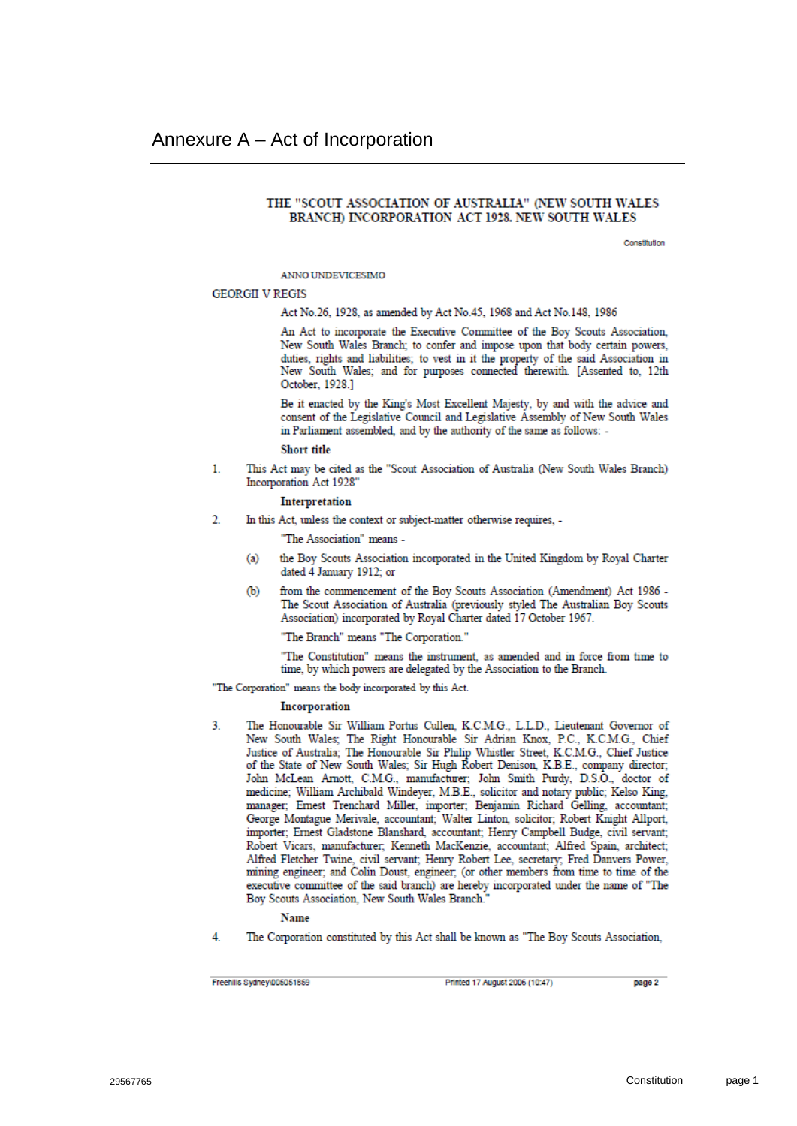#### <span id="page-38-0"></span>THE "SCOUT ASSOCIATION OF AUSTRALIA" (NEW SOUTH WALES BRANCH) INCORPORATION ACT 1928. NEW SOUTH WALES

Constitution

**ANNO UNDEVICESIMO** 

#### **GEORGII V REGIS**

Act No.26, 1928, as amended by Act No.45, 1968 and Act No.148, 1986

An Act to incorporate the Executive Committee of the Boy Scouts Association, New South Wales Branch; to confer and impose upon that body certain powers, duties, rights and liabilities; to vest in it the property of the said Association in New South Wales; and for purposes connected therewith. [Assented to, 12th October, 1928.]

Be it enacted by the King's Most Excellent Majesty, by and with the advice and consent of the Legislative Council and Legislative Assembly of New South Wales in Parliament assembled, and by the authority of the same as follows: -

#### **Short title**

This Act may be cited as the "Scout Association of Australia (New South Wales Branch)  $\mathbf{1}$ Incorporation Act 1928"

#### Interpretation

 $\mathcal{D}$ In this Act, unless the context or subject-matter otherwise requires, -

"The Association" means -

- the Boy Scouts Association incorporated in the United Kingdom by Royal Charter  $(a)$ dated 4 January 1912; or
- from the commencement of the Boy Scouts Association (Amendment) Act 1986 -ΦЭ The Scout Association of Australia (previously styled The Australian Boy Scouts Association) incorporated by Royal Charter dated 17 October 1967.

"The Branch" means "The Corporation."

"The Constitution" means the instrument, as amended and in force from time to time, by which powers are delegated by the Association to the Branch.

"The Corporation" means the body incorporated by this Act.

#### Incorporation

The Honourable Sir William Portus Cullen, K.C.M.G., L.L.D., Lieutenant Governor of 3 New South Wales; The Right Honourable Sir Adrian Knox, P.C., K.C.M.G., Chief Justice of Australia; The Honourable Sir Philip Whistler Street, K.C.M.G., Chief Justice of the State of New South Wales; Sir Hugh Robert Denison, K.B.E., company director; John McLean Arnott, C.M.G., manufacturer; John Smith Purdy, D.S.O., doctor of medicine; William Archibald Windever, M.B.E., solicitor and notary public; Kelso King, manager; Ernest Trenchard Miller, importer; Benjamin Richard Gelling, accountant; George Montague Merivale, accountant; Walter Linton, solicitor; Robert Knight Allport, importer; Ernest Gladstone Blanshard, accountant; Henry Campbell Budge, civil servant; Robert Vicars, manufacturer; Kenneth MacKenzie, accountant; Alfred Spain, architect; Alfred Fletcher Twine, civil servant: Henry Robert Lee, secretary; Fred Danvers Power, mining engineer; and Colin Doust, engineer; (or other members from time to time of the executive committee of the said branch) are hereby incorporated under the name of "The Boy Scouts Association, New South Wales Branch.

#### **Name**

The Corporation constituted by this Act shall be known as "The Boy Scouts Association, 4

Freehills Sydney\005051859

Printed 17 August 2006 (10:47)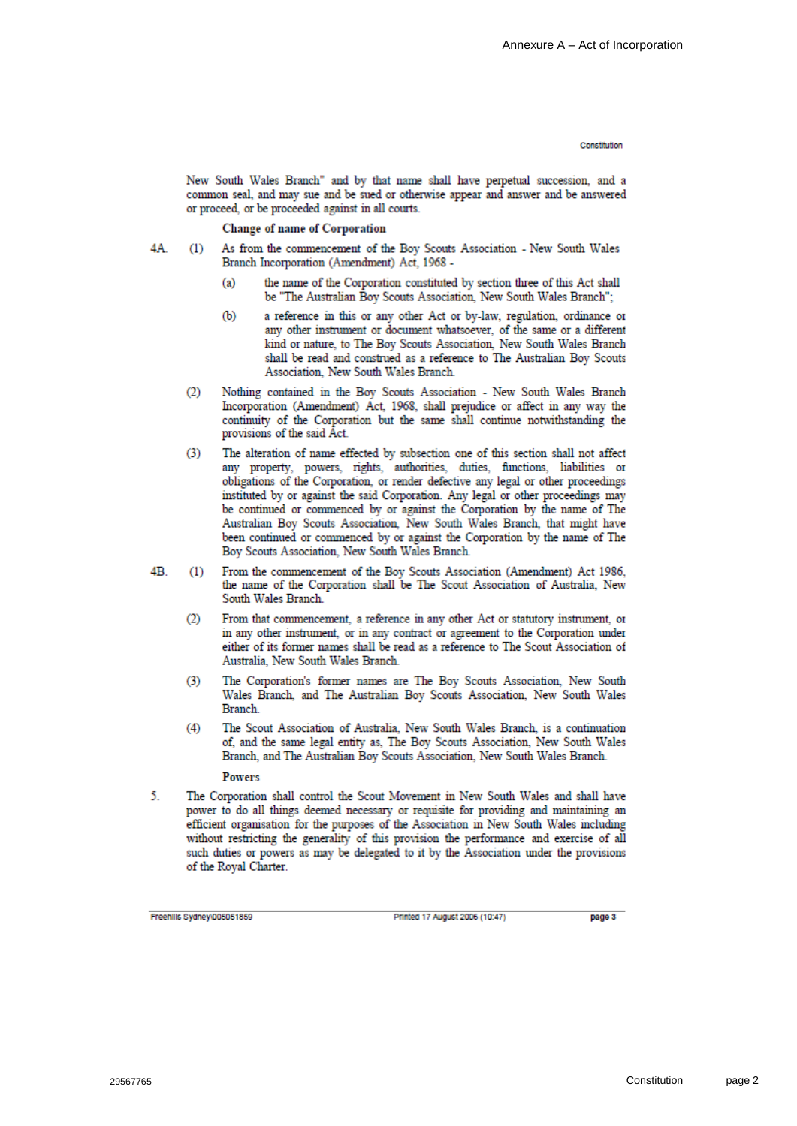#### Conciliulion

New South Wales Branch" and by that name shall have perpetual succession, and a common seal, and may sue and be sued or otherwise appear and answer and be answered or proceed, or be proceeded against in all courts.

Change of name of Corporation

- $4A$  $(1)$ As from the commencement of the Boy Scouts Association - New South Wales Branch Incorporation (Amendment) Act, 1968
	- the name of the Corporation constituted by section three of this Act shall  $(a)$ be "The Australian Boy Scouts Association, New South Wales Branch";
	- $(b)$ a reference in this or any other Act or by-law, regulation, ordinance or any other instrument or document whatsoever, of the same or a different kind or nature, to The Boy Scouts Association, New South Wales Branch shall be read and construed as a reference to The Australian Boy Scouts Association. New South Wales Branch.
	- Nothing contained in the Boy Scouts Association New South Wales Branch  $(2)$ Incorporation (Amendment) Act. 1968, shall prejudice or affect in any way the continuity of the Corporation but the same shall continue notwithstanding the provisions of the said Act.
	- The alteration of name effected by subsection one of this section shall not affect  $(3)$ any property, powers, rights, authorities, duties, functions, liabilities or obligations of the Corporation, or render defective any legal or other proceedings instituted by or against the said Corporation. Any legal or other proceedings may be continued or commenced by or against the Corporation by the name of The Australian Boy Scouts Association, New South Wales Branch, that might have been continued or commenced by or against the Corporation by the name of The Boy Scouts Association, New South Wales Branch.
- $4B.$ From the commencement of the Boy Scouts Association (Amendment) Act 1986,  $(1)$ the name of the Corporation shall be The Scout Association of Australia, New South Wales Branch
	- $(2)$ From that commencement, a reference in any other Act or statutory instrument, or in any other instrument, or in any contract or agreement to the Corporation under either of its former names shall be read as a reference to The Scout Association of Australia, New South Wales Branch.
	- The Corporation's former names are The Boy Scouts Association, New South  $(3)$ Wales Branch, and The Australian Boy Scouts Association, New South Wales Branch.
	- The Scout Association of Australia, New South Wales Branch, is a continuation  $(4)$ of, and the same legal entity as, The Boy Scouts Association, New South Wales Branch, and The Australian Boy Scouts Association, New South Wales Branch.

Powers

The Corporation shall control the Scout Movement in New South Wales and shall have 5 power to do all things deemed necessary or requisite for providing and maintaining an efficient organisation for the purposes of the Association in New South Wales including without restricting the generality of this provision the performance and exercise of all such duties or powers as may be delegated to it by the Association under the provisions of the Royal Charter.

Freehills Sydney\005051859

Printed 17 August 2006 (10:47)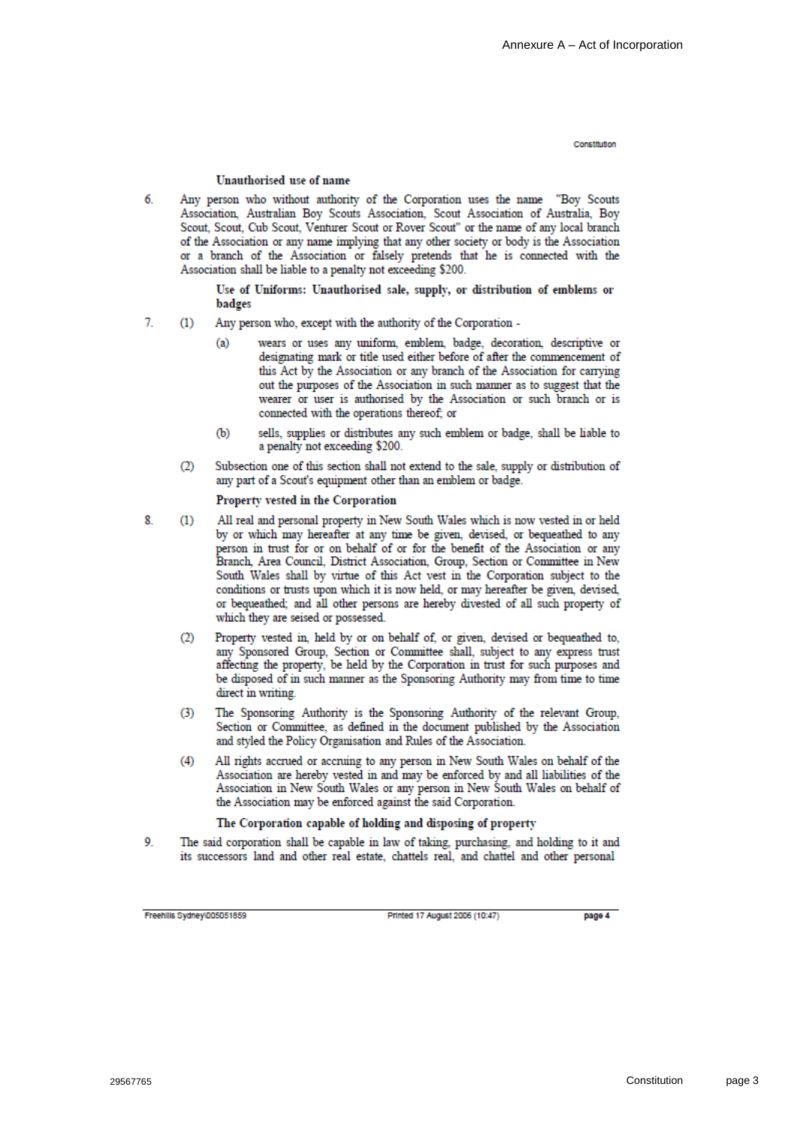#### Unauthorised use of name

6 Any person who without authority of the Corporation uses the name "Boy Scouts Association, Australian Boy Scouts Association, Scout Association of Australia, Boy Scout, Scout, Cub Scout, Venturer Scout or Rover Scout" or the name of any local branch of the Association or any name implying that any other society or body is the Association or a branch of the Association or falsely pretends that he is connected with the Association shall be liable to a penalty not exceeding \$200.

> Use of Uniforms: Unauthorised sale, supply, or distribution of emblems or badges

- $\overline{7}$ Any person who, except with the authority of the Corporation - $(1)$ 
	- wears or uses any uniform, emblem, badge, decoration, descriptive or  $(a)$ designating mark or title used either before of after the commencement of this Act by the Association or any branch of the Association for carrying out the purposes of the Association in such manner as to suggest that the wearer or user is authorised by the Association or such branch or is connected with the operations thereof; or
	- sells, supplies or distributes any such emblem or badge, shall be liable to  $(b)$ a penalty not exceeding \$200.
	- $(2)$ Subsection one of this section shall not extend to the sale, supply or distribution of any part of a Scout's equipment other than an emblem or badge.

#### Property vested in the Corporation

- 8. All real and personal property in New South Wales which is now vested in or held  $(1)$ by or which may hereafter at any time be given, devised, or bequeathed to any person in trust for or on behalf of or for the benefit of the Association or any Branch, Area Council, District Association, Group, Section or Committee in New South Wales shall by virtue of this Act vest in the Corporation subject to the conditions or trusts upon which it is now held, or may hereafter be given, devised, or bequeathed; and all other persons are hereby divested of all such property of which they are seised or possessed.
	- $(2)$ Property vested in, held by or on behalf of, or given, devised or bequeathed to, any Sponsored Group, Section or Committee shall, subject to any express trust affecting the property, be held by the Corporation in trust for such purposes and be disposed of in such manner as the Sponsoring Authority may from time to time direct in writing.
	- $(3)$ The Sponsoring Authority is the Sponsoring Authority of the relevant Group, Section or Committee, as defined in the document published by the Association and styled the Policy Organisation and Rules of the Association.
	- $(4)$ All rights accrued or accruing to any person in New South Wales on behalf of the Association are hereby vested in and may be enforced by and all liabilities of the Association in New South Wales or any person in New South Wales on behalf of the Association may be enforced against the said Corporation.

#### The Corporation capable of holding and disposing of property

9. The said corporation shall be capable in law of taking, purchasing, and holding to it and its successors land and other real estate, chattels real, and chattel and other personal

Freehills Sydney\005051859

Printed 17 August 2006 (10:47)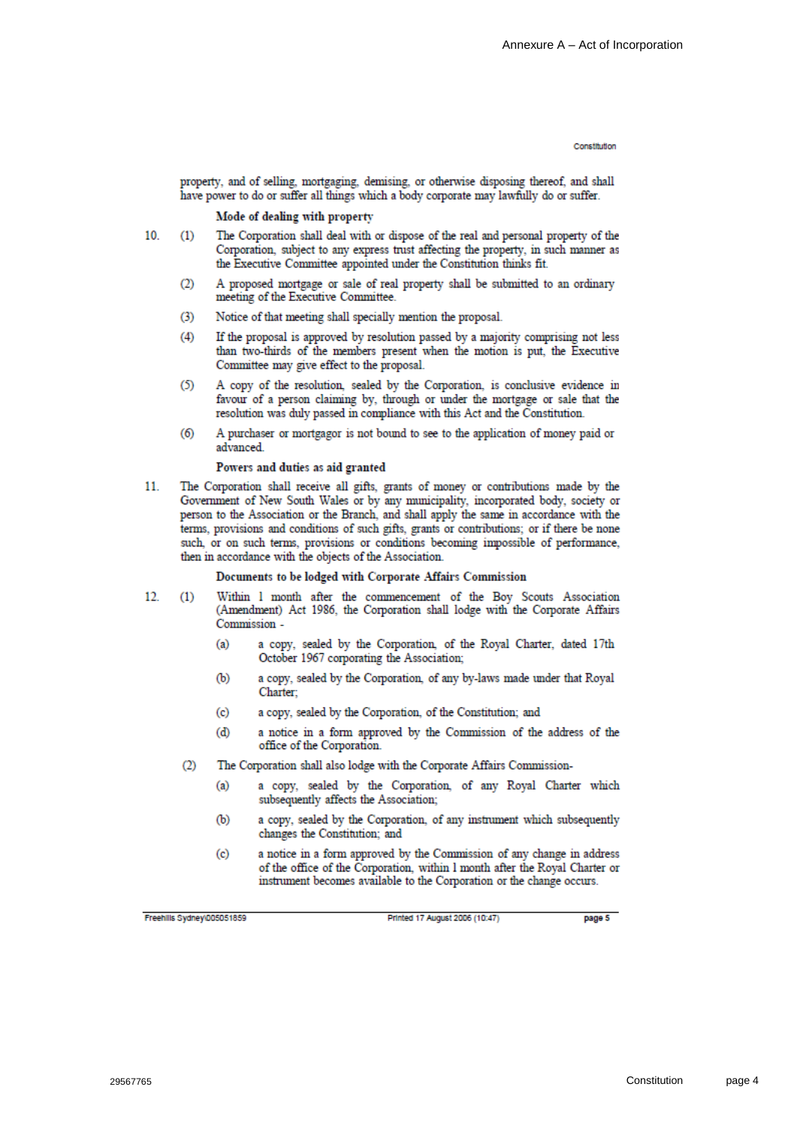property, and of selling, mortgaging, demising, or otherwise disposing thereof, and shall have power to do or suffer all things which a body corporate may lawfully do or suffer.

#### Mode of dealing with property

- 10 The Corporation shall deal with or dispose of the real and personal property of the  $(1)$ Corporation, subject to any express trust affecting the property, in such manner as the Executive Committee appointed under the Constitution thinks fit.
	- A proposed mortgage or sale of real property shall be submitted to an ordinary  $(2)$ meeting of the Executive Committee.
	- $(3)$ Notice of that meeting shall specially mention the proposal.
	- If the proposal is approved by resolution passed by a majority comprising not less  $(4)$ than two-thirds of the members present when the motion is put, the Executive Committee may give effect to the proposal.
	- $(5)$ A copy of the resolution, sealed by the Corporation, is conclusive evidence in favour of a person claiming by, through or under the mortgage or sale that the resolution was duly passed in compliance with this Act and the Constitution.
	- A purchaser or mortgagor is not bound to see to the application of money paid or  $(6)$ advanced.

#### Powers and duties as aid granted

11 The Corporation shall receive all gifts, grants of money or contributions made by the Government of New South Wales or by any municipality, incorporated body, society or person to the Association or the Branch, and shall apply the same in accordance with the terms, provisions and conditions of such gifts, grants or contributions; or if there be none such, or on such terms, provisions or conditions becoming impossible of performance, then in accordance with the objects of the Association.

#### Documents to be lodged with Corporate Affairs Commission

- $12.$  $(1)$ Within 1 month after the commencement of the Boy Scouts Association (Amendment) Act 1986, the Corporation shall lodge with the Corporate Affairs Commission
	- a copy, sealed by the Corporation, of the Royal Charter, dated 17th  $(a)$ October 1967 corporating the Association;
	- a copy, sealed by the Corporation, of any by-laws made under that Royal  $(b)$ Charter:
	- a copy, sealed by the Corporation, of the Constitution; and  $(c)$
	- a notice in a form approved by the Commission of the address of the  $(d)$ office of the Corporation.
	- $(2)$ The Corporation shall also lodge with the Corporate Affairs Commission
		- a copy, sealed by the Corporation, of any Royal Charter which  $(a)$ subsequently affects the Association;
		- a copy, sealed by the Corporation, of any instrument which subsequently  $(b)$ changes the Constitution; and
		- a notice in a form approved by the Commission of any change in address  $(c)$ of the office of the Corporation, within I month after the Royal Charter or instrument becomes available to the Corporation or the change occurs.

Freehills Sydney(005051859)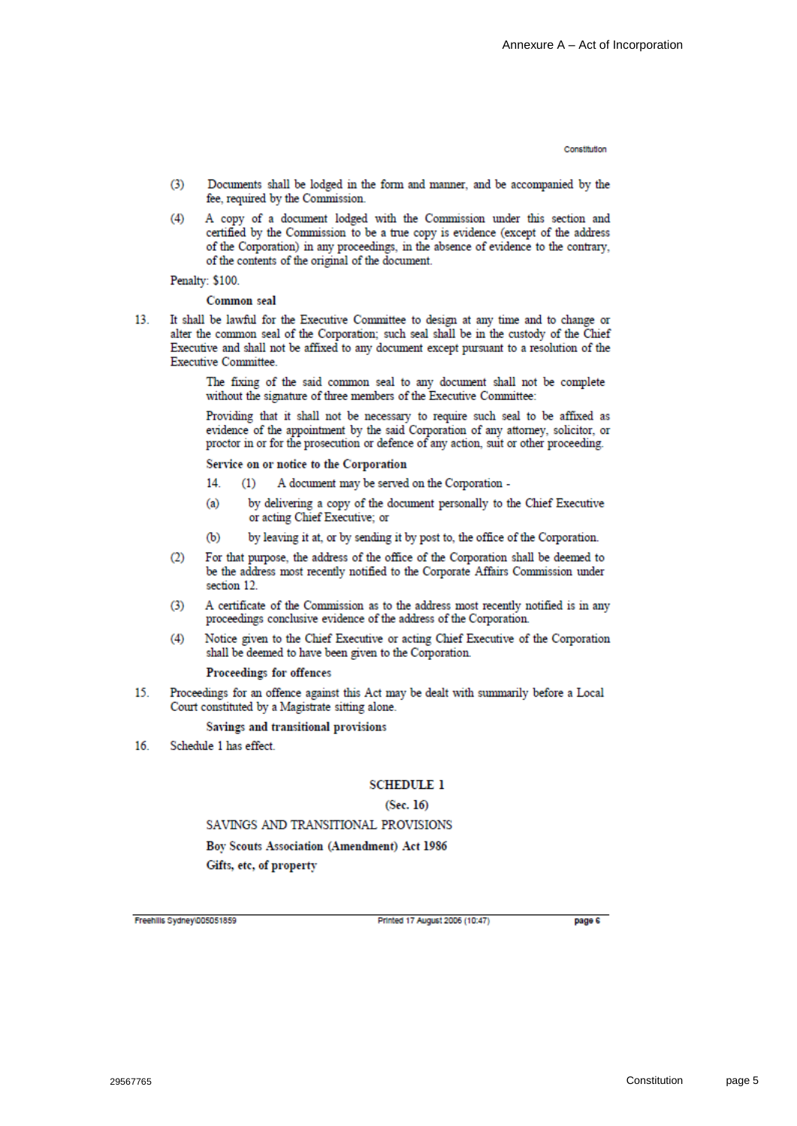- $(3)$ Documents shall be lodged in the form and manner, and be accompanied by the fee, required by the Commission.
- $(4)$ A copy of a document lodged with the Commission under this section and certified by the Commission to be a true copy is evidence (except of the address of the Corporation) in any proceedings, in the absence of evidence to the contrary, of the contents of the original of the document.

Penalty: \$100.

Common seal

13 It shall be lawful for the Executive Committee to design at any time and to change or alter the common seal of the Corporation: such seal shall be in the custody of the Chief Executive and shall not be affixed to any document except pursuant to a resolution of the **Executive Committee.** 

> The fixing of the said common seal to any document shall not be complete without the signature of three members of the Executive Committee:

Providing that it shall not be necessary to require such seal to be affixed as evidence of the appointment by the said Corporation of any attorney, solicitor, or proctor in or for the prosecution or defence of any action, suit or other proceeding.

Service on or notice to the Corporation

- 14. A document may be served on the Corporation - $(1)$
- by delivering a copy of the document personally to the Chief Executive  $(a)$ or acting Chief Executive; or
- by leaving it at, or by sending it by post to, the office of the Corporation.  $(b)$
- For that purpose, the address of the office of the Corporation shall be deemed to  $(2)$ be the address most recently notified to the Corporate Affairs Commission under section 12
- A certificate of the Commission as to the address most recently notified is in any  $(3)$ proceedings conclusive evidence of the address of the Corporation.
- Notice given to the Chief Executive or acting Chief Executive of the Corporation  $(4)$ shall be deemed to have been given to the Corporation.

Proceedings for offences

Proceedings for an offence against this Act may be dealt with summarily before a Local 15 Court constituted by a Magistrate sitting alone.

Savings and transitional provisions

16 Schedule 1 has effect.

#### **SCHEDULE 1**

#### $(Sec. 16)$

SAVINGS AND TRANSITIONAL PROVISIONS

Boy Scouts Association (Amendment) Act 1986 Gifts, etc, of property

Freehills Sydney\005051859

Printed 17 August 2006 (10:47)